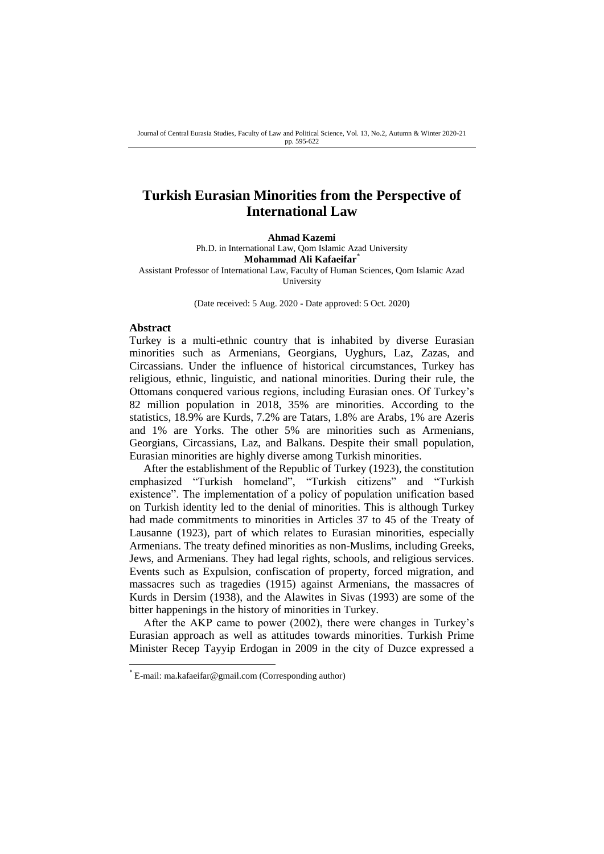# **Turkish Eurasian Minorities from the Perspective of International Law**

**Ahmad Kazemi**

Ph.D. in International Law, Qom Islamic Azad University **Mohammad Ali Kafaeifar**\* Assistant Professor of International Law, Faculty of Human Sciences, Qom Islamic Azad University

(Date received: 5 Aug. 2020 - Date approved: 5 Oct. 2020)

#### **Abstract**

**.** 

Turkey is a multi-ethnic country that is inhabited by diverse Eurasian minorities such as Armenians, Georgians, Uyghurs, Laz, Zazas, and Circassians. Under the influence of historical circumstances, Turkey has religious, ethnic, linguistic, and national minorities. During their rule, the Ottomans conquered various regions, including Eurasian ones. Of Turkey's 82 million population in 2018, 35% are minorities. According to the statistics, 18.9% are Kurds, 7.2% are Tatars, 1.8% are Arabs, 1% are Azeris and 1% are Yorks. The other 5% are minorities such as Armenians, Georgians, Circassians, Laz, and Balkans. Despite their small population, Eurasian minorities are highly diverse among Turkish minorities.

After the establishment of the Republic of Turkey (1923), the constitution emphasized "Turkish homeland", "Turkish citizens" and "Turkish existence". The implementation of a policy of population unification based on Turkish identity led to the denial of minorities. This is although Turkey had made commitments to minorities in Articles 37 to 45 of the Treaty of Lausanne (1923), part of which relates to Eurasian minorities, especially Armenians. The treaty defined minorities as non-Muslims, including Greeks, Jews, and Armenians. They had legal rights, schools, and religious services. Events such as Expulsion, confiscation of property, forced migration, and massacres such as tragedies (1915) against Armenians, the massacres of Kurds in Dersim (1938), and the Alawites in Sivas (1993) are some of the bitter happenings in the history of minorities in Turkey.

After the AKP came to power (2002), there were changes in Turkey's Eurasian approach as well as attitudes towards minorities. Turkish Prime Minister Recep Tayyip Erdogan in 2009 in the city of Duzce expressed a

<sup>\*</sup> E-mail: ma.kafaeifar@gmail.com (Corresponding author)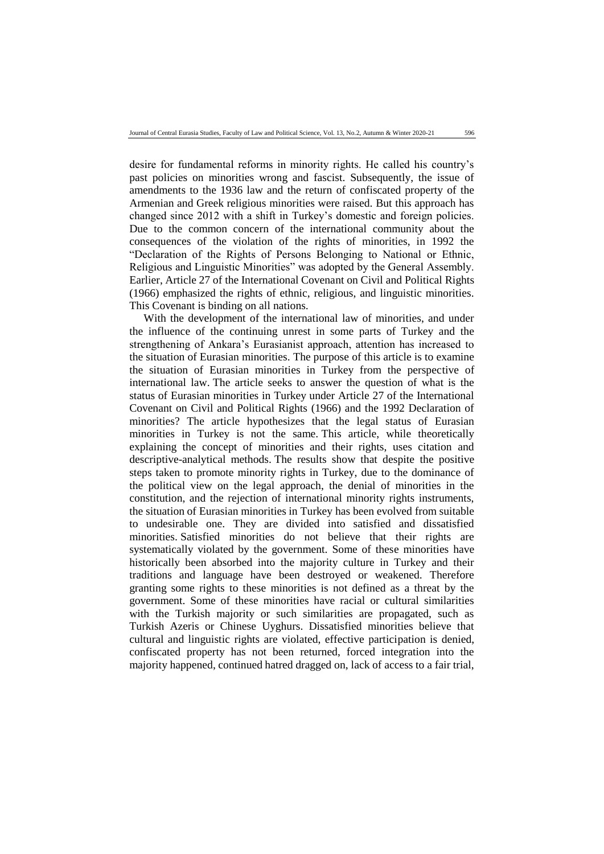desire for fundamental reforms in minority rights. He called his country's past policies on minorities wrong and fascist. Subsequently, the issue of amendments to the 1936 law and the return of confiscated property of the Armenian and Greek religious minorities were raised. But this approach has changed since 2012 with a shift in Turkey's domestic and foreign policies. Due to the common concern of the international community about the consequences of the violation of the rights of minorities, in 1992 the "Declaration of the Rights of Persons Belonging to National or Ethnic, Religious and Linguistic Minorities" was adopted by the General Assembly. Earlier, Article 27 of the International Covenant on Civil and Political Rights (1966) emphasized the rights of ethnic, religious, and linguistic minorities. This Covenant is binding on all nations.

With the development of the international law of minorities, and under the influence of the continuing unrest in some parts of Turkey and the strengthening of Ankara's Eurasianist approach, attention has increased to the situation of Eurasian minorities. The purpose of this article is to examine the situation of Eurasian minorities in Turkey from the perspective of international law. The article seeks to answer the question of what is the status of Eurasian minorities in Turkey under Article 27 of the International Covenant on Civil and Political Rights (1966) and the 1992 Declaration of minorities? The article hypothesizes that the legal status of Eurasian minorities in Turkey is not the same. This article, while theoretically explaining the concept of minorities and their rights, uses citation and descriptive-analytical methods. The results show that despite the positive steps taken to promote minority rights in Turkey, due to the dominance of the political view on the legal approach, the denial of minorities in the constitution, and the rejection of international minority rights instruments, the situation of Eurasian minorities in Turkey has been evolved from suitable to undesirable one. They are divided into satisfied and dissatisfied minorities. Satisfied minorities do not believe that their rights are systematically violated by the government. Some of these minorities have historically been absorbed into the majority culture in Turkey and their traditions and language have been destroyed or weakened. Therefore granting some rights to these minorities is not defined as a threat by the government. Some of these minorities have racial or cultural similarities with the Turkish majority or such similarities are propagated, such as Turkish Azeris or Chinese Uyghurs. Dissatisfied minorities believe that cultural and linguistic rights are violated, effective participation is denied, confiscated property has not been returned, forced integration into the majority happened, continued hatred dragged on, lack of access to a fair trial,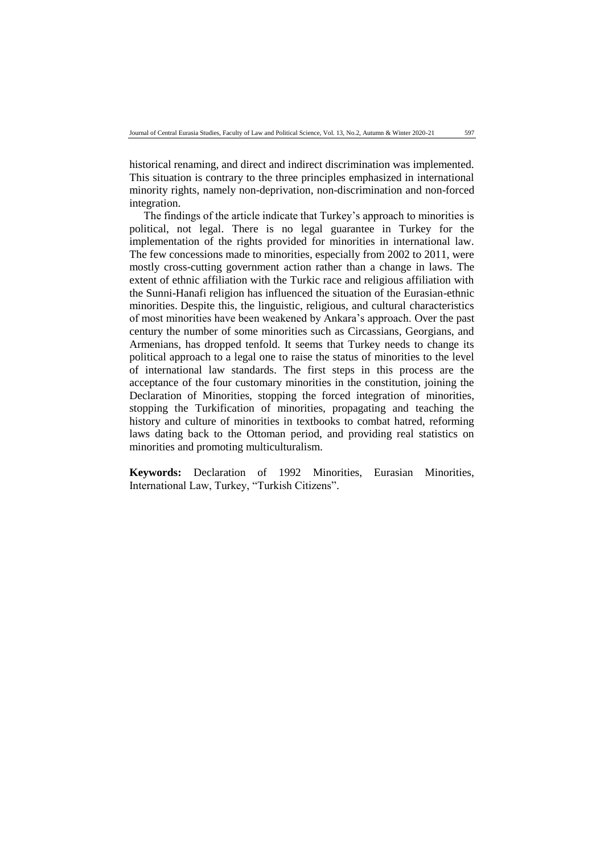historical renaming, and direct and indirect discrimination was implemented. This situation is contrary to the three principles emphasized in international minority rights, namely non-deprivation, non-discrimination and non-forced integration.

The findings of the article indicate that Turkey's approach to minorities is political, not legal. There is no legal guarantee in Turkey for the implementation of the rights provided for minorities in international law. The few concessions made to minorities, especially from 2002 to 2011, were mostly cross-cutting government action rather than a change in laws. The extent of ethnic affiliation with the Turkic race and religious affiliation with the Sunni-Hanafi religion has influenced the situation of the Eurasian-ethnic minorities. Despite this, the linguistic, religious, and cultural characteristics of most minorities have been weakened by Ankara's approach. Over the past century the number of some minorities such as Circassians, Georgians, and Armenians, has dropped tenfold. It seems that Turkey needs to change its political approach to a legal one to raise the status of minorities to the level of international law standards. The first steps in this process are the acceptance of the four customary minorities in the constitution, joining the Declaration of Minorities, stopping the forced integration of minorities, stopping the Turkification of minorities, propagating and teaching the history and culture of minorities in textbooks to combat hatred, reforming laws dating back to the Ottoman period, and providing real statistics on minorities and promoting multiculturalism.

**Keywords:** Declaration of 1992 Minorities, Eurasian Minorities, International Law, Turkey, "Turkish Citizens".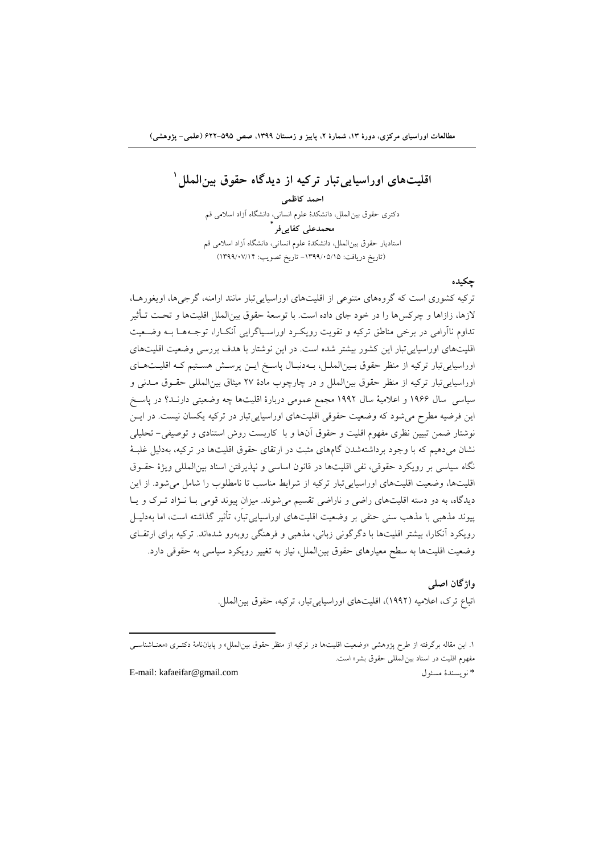**3 اقليتهاي اوراسياییتبار تركيه از دیدگاه حقوق بينالملل**

**احمد كاظمی** دکتری حقوق بینالملل، دانشکدۀ علوم انسانی، دانشگاه آزاد اسالمی قم **\* محمدعلی كفاییفر** استادیار حقوق بینالملل، دانشکدۀ علوم انسانی، دانشگاه آزاد اسالمی قم )تاریخ دریافت: -5911/51/51 تاریخ تصویب: 5911/50/51(

#### **چکيده**

ترکیه کشوری است که گروههای متنوعی از اقلیتهای اوراسیاییتبار مانند ارامنه، گرجیها، اویغورهاا ، الزها، زازاها و چرکسها را در خود جای داده است. با توسعۀ حقوق بینالملل اقلیتها و تحات تا أثیر تداوم ناآرامی در برخی مناطق ترکیه و تقویت رویک رد اوراسـیاگرایی آنکـارا، توجـههـا بـه وضـعیت اقلیتهای اوراسیاییتبار این کشور بیشتر شده است. در این نوشتار با هدف بررسی وضعیت اقلیتهای اوراسیایی تبار ترکیه از منظر حقوق بـین|لملـل، بـهدنبـال پاسـخ ایــن پرســش هسـتیم کـه اقلیــتهــای اوراسیایی تبار ترکیه از منظر حقوق بین الملل و در چارچوب مادۀ ٢٧ میثاق بین المللی حقـوق مــدنی و سیاسی سا 5111 و اعالمیۀ سا 5117 مجمع عمومی دربارۀ اقلیتها چه وضعیتی دارناد در پاساخ این فرضیه مطرح میشود که وضعیت حقوقی اقلیتهای اوراسیاییتبار در ترکیه یکسان نیست. در ایان نوشتار ضمن تبیین نظری مفهوم اقلیت و حقوق آنها و با کاربست روش استنادی و توصیفی- تحلیلی نشان میدهیم که با وجود برداشتهشدن گامهای مثبت در ارتقای حقوق اقلیتها در ترکیه، بهدلیل غلبا ۀ نگاه سیاسی بر رویکرد حقوقی، نفی اقلیتها در قانون اساسی و نپذیرفتن اسناد بینالمللی ویژۀ حقاوق اقلیتها، وضعیت اقلیتهای اوراسیاییتبار ترکیه از شرایط مناسب تا نامطلوب را شامل میشود. از این دیدگاه، به دو دسته اقلیتهای راضی و ناراضی تقسیم می شوند. میزان پیوند قومی بـا نـژاد تـرک و یـا پیوند مذهبی با مذهب سنی حنفی بر وضعیت اقلیتهای اوراسیاییتبار، تأثیر گذاشته است، اما بهدلیال رویکرد آنکارا، بیشتر اقلیتها با دگرگونی زبانی، مذهبی و فرهنگی روبهرو شدهاند. ترکیه برای ارتقـای وضعیت اقلیتها به سطح معیارهای حقوق بینالملل، نیاز به تغییر رویکرد سیاسی به حقوقی دارد.

> **واژگان اصلی** اتباع ترک، اعلامیه (۱۹۹۲)، اقلیتهای اوراسیایی تبار، ترکیه، حقوق بین الملل.

۱. این مقاله برگرفته از طرح پژوهشی «وضعیت اقلیتها در ترکیه از منظر حقوق بین|لملل» و پایاننامۀ دکتـری «معنــاشناســی مفهوم اقلیت در اسناد بینالمللی حقوق بشر« است. E-mail: kafaeifar@gmail.com مسئو نویسندۀ\*

1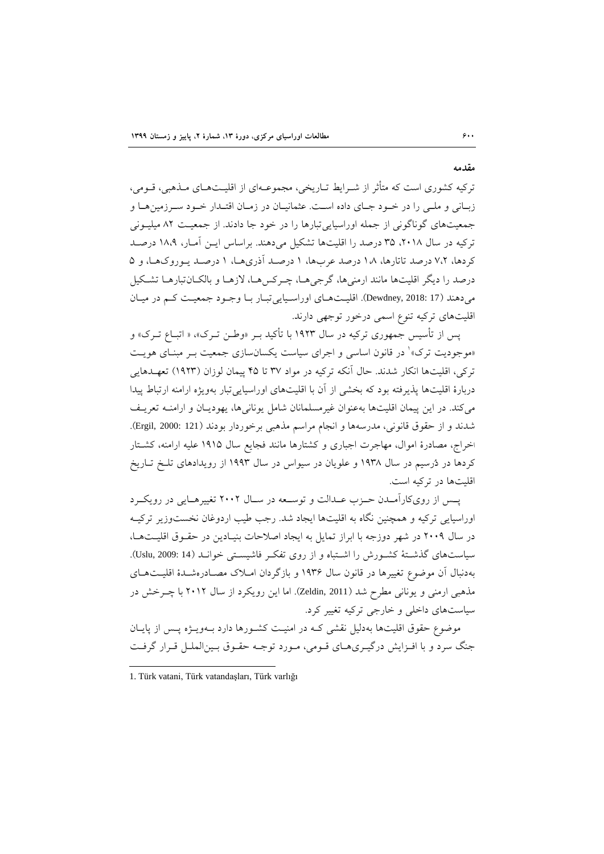ترکیه کشوری است که متأثر از شـرایط تـاریخی، مجموعـهای از اقلیــتهــای مــذهبی، قــومی، زبـانی و ملـی را در خـود جـای داده اسـت. عثمانیـان در زمـان اقتـدار خـود سـرزمینهـا و جمعیتهای گوناگونی از جمله اوراسیایی تبارها را در خود جا دادند. از جمعیت ۸۲ میلیـونی ترکیه در سال ۲۰۱۸، ۳۵ درصد را اقلیتها تشکیل میدهند. براساس ایـن آمـار، ۱۸،۹ درصـد کردها، ٧،٢ درصد تاتارها، ١٨ درصد عربها، ١ درصد آذریها، ١ درصد یهوروکها، و ۵ درصد را دیگر اقلیتها مانند ارمنیها، گرجیها، چـرکسهـا، لازهـا و بالکـانتبارهـا تشـکیل می دهند (Dewdney, 2018: 17). اقلیتهای اوراسیایی تبار با وجود جمعیت کم در میان اقلیتهای ترکیه تنوع اسمی درخور توجهی دارند.

پس از تأسیس جمهوری ترکیه در سال ۱۹۲۳ با تأکید بـر «وطـن تـرک»، « اتبــاع تــرک» و <sub>ا</sub>موجودیت ترک»<sup>۱</sup> در قانون اساسی و اجرای سیاست یکسانسازی جمعیت بـر مبنـای هویــت ترکی، اقلیتها انکار شدند. حال آنکه ترکیه در مواد ۳۷ تا ۴۵ پیمان لوزان (۱۹۲۳) تعهـدهایی دربارۀ اقلیتها پذیرفته بود که بخشی از آن با اقلیتهای اوراسیایی تبار بهویژه ارامنه ارتباط پیدا میکند. در این پیمان اقلیتها بهعنوان غیرمسلمانان شامل یونانیها، یهودیاان و ارامناه تعریا شدند و از حقوق قانونی، مدرسهها و انجام مراسم مذهبی برخوردار بودند )121 2000: ,Ergil). اخراج، مصادرۀ اموال، مهاجرت اجباری و کشتارها مانند فجایع سال ۱۹۱۵ علیه ارامنه، کشـتار کردها در دُرسیم در سال ۱۹۳۸ و علویان در سیواس در سال ۱۹۹۳ از رویدادهای تلـخ تـاریخ اقلیتها در ترکیه است.

پس از رویکارآمـدن حـزب عـدالت و توسـعه در سـال ۲۰۰۲ تغییرهـایی در رویکـرد اوراسیایی ترکیه و همچنین نگاه به اقلیتها ایجاد شد. رجب طیب اردوغان نخستوزیر ترکیـه در سال ۲۰۰۹ در شهر دوزجه با ابراز تمایل به ایجاد اصلاحات بنیـادین در حقـوق اقلیـتهـا، سیاستهای گذشتۀ کشورش را اشتباه و از روی تفک وفاشیستی خوانـد (Uslu, 2009: 14). بهدنبال آن موضوع تغییرها در قانون سال ۱۹۳۶ و بازگردان امـلاک مصـادرهشـدهٔ اقلیـتهـای مذهبی ارمنی و یونانی مطرح شد (Zeldin, 2011). اما این رویکرد از سال ۲۰۱۲ با چـرخش در سیاستهای داخلی و خارجی ترکیه تغییر کرد.

موضوع حقوق اقلیتها بهدلیل نقشی کـه در امنیـت کشـورها دارد بــهویــژه پــس از پایــان جنگ سرد و با افـزایش درگیـری۱مـای قـومی، مـورد توجـه حقـوق بـینالملـل قـرار گرفـت

1

**مقدمه**

<sup>1.</sup> Türk vatani, Türk vatandaşları, Türk varlığı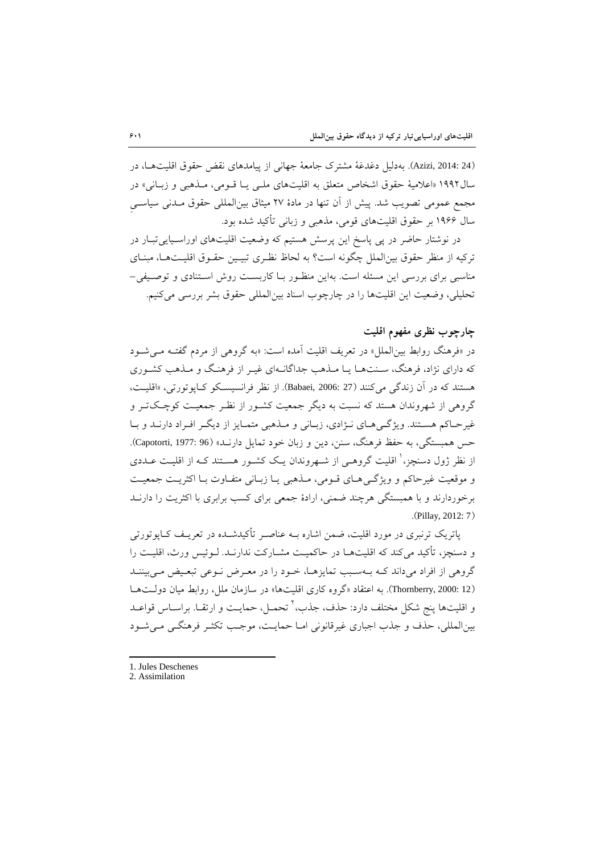)24 2014: ,Azizi). بهدلیل دغدغۀ مشتر جامعۀ جهانی از پیامدهای نقض حقوق اقلیتهاا، در سال ۱۹۹۲ «اعلامیۀ حقوق اشخاص متعلق به اقلیتهای ملـی یـا قـومی، مـذهبی و زبـانی» در مجمع عمومی تصویب شد. پیش از آن تنها در مادۀ ٢٧ میثاق بینالمللی حقوق مـدنی سیاسـی سا 5111 بر حقوق اقلیتهای قومی، مذهبی و زبانی تأکید شده بود.

در نوشتار حاضر در پی پاسخ این پرسش هستیم که وضعیت اقلیتهای اوراسـیاییتبـار در ترکیه از منظر حقوق بین الملل چگونه است؟ به لحاظ نظـری تبیـین حقـوق اقلیـتهـا، مبنـای مناسبی برای بررسی این مسئله است. بهاین منظـور بـا کاربسـت روش اسـتنادی و توصـیفی-تحلیلی، وضعیت این اقلیتها را در چارچوب اسناد بینالمللی حقوق بشر بررسی میکنیم.

# **چارچوب نظري مفهوم اقليت**

در «فرهنگ روابط بینالملل» در تعریف اقلیت آمده است: «به گروهی از مردم گفتـه مـیشـود که دارای نژاد، فرهنگ، سـنتهـا یـا مـذهب جداگانـهای غیـر از فرهنـگ و مـذهب کشـوری هستند که در آن زندگی میکنند (27 :Babaei, 2006). از نظر فرانسیسکو کـاپوتورتی، «اقلیـت، گروهی از شهروندان هستد که نسبت به دیگر جمعیت کشـور از نظـر جمعیـت کوچـکتـر و غیرحـاکم هسـتند. ویژگـیهـای نـژادی، زبـانی و مـذهبی متمـایز از دیگـر افـراد دارنـد و بـا حس همبستگی، به حفظ فرهنگ، سنن، دین و زبان خود تمایل دارنـد» (Capotorti, 1977: 96). ز نظر ژول دسنچز،' اقلیت گروهـی از شــهروندان یـک کشــور هســتند کــه از اقلیــت عــددی و موقعیت غیرحاکم و ویژگی های قـومی، مـذهبی یـا زبـانی متفـاوت بـا اکثریـت جمعیـت برخوردارند و با همبستگی هرچند ضمنی، ارادۀ جمعی برای کسب برابری با اکثریت را دارناد .(Pillay, 2012: 7)

پاتریک ترنبری در مورد اقلیت، ضمن اشاره بــه عناصـر تأکیدشــده در تعریــف کــاپوتورتی و دسنچز، تأکید میکند که اقلیتها در حاکمیت مشـارکت ندارنـد. لـوئیس ورث، اقلیـت را گروهی از افراد میداند کـه بـهسـبب تمایزهـا، خـود را در معـرض نـوعی تبعـیض مـی بیننــد )12 2000: ,Thornberry). به اعتقاد »گروه کاری اقلیتها« در سازمان ملل، روابط میان دولات هاا و اقلیتها پنج شکل مختلف دارد: حذف، جذب، <sup>۲</sup> تحمـل، حمایـت و ارتقــا. براســاس قواعــد بینالمللی، حذف و جذب اجباری غیرقانونی امـا حمایـت، موجـب تکثـر فرهنگـی مـیشـود

- 1. Jules Deschenes
- 2. Assimilation

1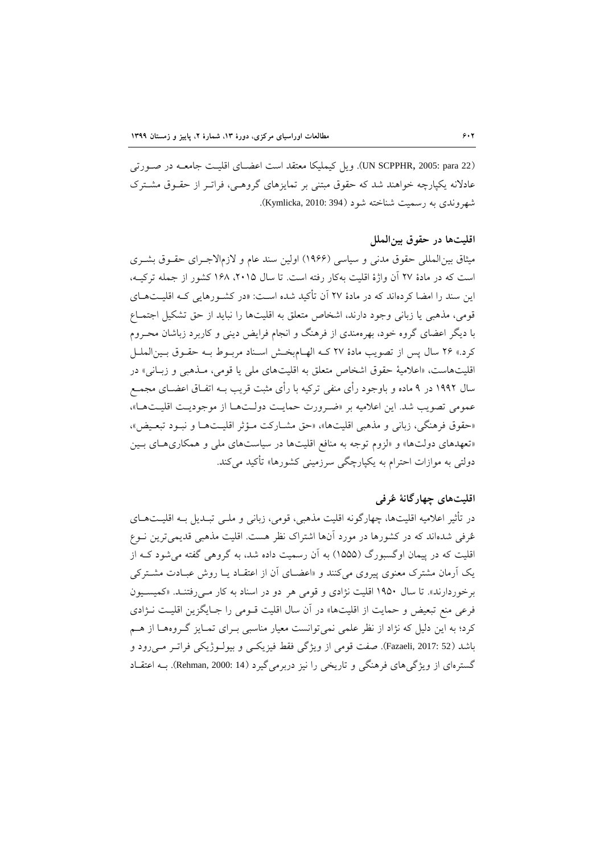(UN SCPPHR, 2005: para 22). ویل کیملیکا معتقد است اعضـای اقلیـت جامعـه در صـورتی عادلانه یکپارچه خواهند شد که حقوق مبتنی بر تمایزهای گروهـی، فراتـر از حقـوق مشـترک شهروندی به رسمیت شناخته شود )394 2010: ,Kymlicka).

#### **اقليتها در حقوق بينالملل**

میثاق بین المللی حقوق مدنی و سیاسی (۱۹۶۶) اولین سند عام و لازمالاجـرای حقــوق بشــری است که در مادۀ ٢٧ آن واژۀ اقلیت بهکار رفته است. تا سال ٢٠١۵، ١۶٨ کشور از جمله ترکیـه، این سند را امضا کردهاند که در مادۀ 70 آن تأکید شده اسات : **»**در کشاورها یی کاه اقلیات هاای قومی، مذهبی یا زبانی وجود دارند، اشخاص متعلق به اقلیتها را نباید از حق تشکیل اجتمـاع با دیگر اعضای گروه خود، بهرهمندی از فرهنگ و انجام فرایض دینی و کاربرد زباشان محاروم کرد.» ۲۶ سال پس از تصویب مادۀ ۲۷ کـه الهـام بخـش اسـناد مربـوط بـه حقـوق بـینالملـل اقلیتهاست، «اعلامیۀ حقوق اشخاص متعلق به اقلیتهای ملی یا قومی، مـذهبی و زبـانی» در سال ۱۹۹۲ در ۹ ماده و باوجود رأی منفی ترکیه با رأی مثبت قریب بــه اتفــاق اعضــای مجمــع عمومی تصویب شد. این اعلامیه بر «ضرورت حمایت دولتها از موجودیت اقلیتها»، «حقوق فرهنگی، زبانی و مذهبی اقلیتها»، «حق مشـارکت مـؤثر اقلیـتهـا و نبـود تبعـیض»، «تعهدهای دولتها» و «لزوم توجه به منافع اقلیتها در سیاستهای ملی و همکاریهـای بـین دولتی به موازات احترام به یکپارچگی سرزمینی کشورها» تأکید می کند.

## **اقليتهاي چهارگانۀ عُرفی**

در تأثیر اعلامیه اقلیتها، چهارگونه اقلیت مذهبی، قومی، زبانی و ملــی تبــدیل بــه اقلیـــتهــای عُرفی شدهاند که در کشورها در مورد آنها اشتراک نظر هست. اقلیت مذهبی قدیمیترین نـوع اقلیت که در پیمان اوگسبورگ (۱۵۵۵) به آن رسمیت داده شد، به گروهی گفته می شود ک از یک آرمان مشترک معنوی پیروی میکنند و «اعضای آن از اعتقـاد یـا روش عبـادت مشـترکی برخوردارند». تا سال ۱۹۵۰ اقلیت نژادی و قومی هر دو در اسناد به کار مـی رفتنـد. «کمیسـیون فرعی منع تبعیض و حمایت از اقلیتها» در آن سال اقلیت قـومی را جـایگزین اقلیـت نـژادی کرد؛ به این دلیل که نژاد از نظر علمی نمیتوانست معیار مناسبی بـرای تمـایز گـروههـا از هـم باشد (Fazaeli, 2017: 52). صفت قومی از ویژگی فقط فیزیکی و بیولـوژیکی فراتـر مـیرود و گسترهای از ویژگی های فرهنگی و تاریخی را نیز دربرمی گیرد (14 :Rehman, 2000). بــه اعتقــاد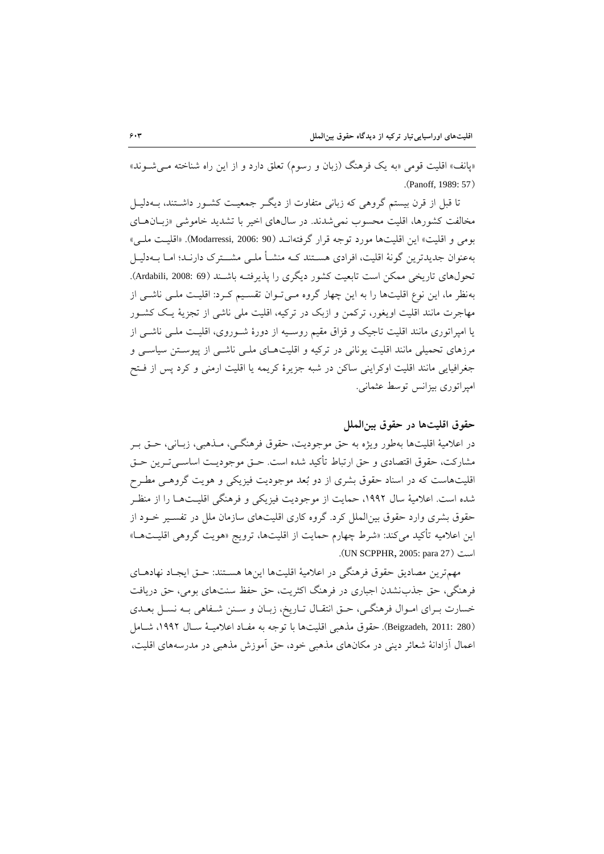«یانف» اقلیت قومی «به یک فرهنگ (زبان و رسوم) تعلق دارد و از این راه شناخته می شوند» .(Panoff, 1989: 57)

تا قبل از قرن بیستم گروهی که زبانی متفاوت از دیگر جمعیت کشـور داشـتند، بـهدلیـل مخالفت کشورها، اقلیت محسوب نمی شدند. در سال های اخیر با تشدید خاموشی «زبان های بومی و اقلیت» این اقلیتها مورد توجه قرار گرفتهانـد (Modarressi, 2006: 90). «اقلیـت ملـی» بهعنوان جدیدترین گونۀ اقلیت، افرادی هسـتند کــه منشــأ ملــی مشـــترک دارنــد؛ امــا بــهدلیــل تحولهای تاریخی ممکن است تابعیت کشور دیگری را پذیرفتـه باشـند (69 :008 ,Ardabili). بهنظر ما، این نوع اقلیتها را به این چهار گروه مـیتوان تقسـیم کـرد: اقلیـت ملـی ناشـی از مهاجرت مانند اقلیت اویغور، ترکمن و ازبک در ترکیه، اقلیت ملی ناشی از تجزیۀ یـک کشـور یا امپراتوری مانند اقلیت تاجیک و قزاق مقیم روسـیه از دورۀ شـوروی، اقلیـت ملـی ناشـی از مرزهای تحمیلی مانند اقلیت یونانی در ترکیه و اقلیتهـای ملـی ناشـی از پیوسـتن سیاسـی و جغرافیایی مانند اقلیت اوکراینی ساکن در شبه جزیرۀ کریمه یا اقلیت ارمنی و کرد پس از فاتح امپراتوری بیزانس توسط عثمانی.

#### **حقوق اقليتها در حقوق بينالملل**

در اعلامیۀ اقلیتها بهطور ویژه به حق موجودیت، حقوق فرهنگـی، مـذهبی، زبـانی، حـق بـر مشارکت، حقوق اقتصادی و حق ارتباط تأکید شده است. حــق موجودیــت اساســیتــرین حــق اقلیتهاست که در اسناد حقوق بشری از دو بُعد موجودیت فیزیکی و هویت گروهای مطارح شده است. اعلامیۀ سال ۱۹۹۲، حمایت از موجودیت فیزیکی و فرهنگی اقلیــتهــا را از منظــر حقوق بشری وارد حقوق بین الملل کرد. گروه کاری اقلیتهای سازمان ملل در تفسیر خـود از این اعالمیه تأکید میکند: »شرط چهارم حمایت از اقلیتها، ترویج »هویت گروهی اقلیات هاا « .)UN SCPPHR, 2005: para 27( است

مهمترین مصادیق حقوق فرهنگی در اعلامیۀ اقلیتها اینها هسـتند: حـق ایجـاد نهادهــای فرهنگی، حق جذبنشدن اجباری در فرهنگ اکثریت، حق حفظ سنتهای بومی، حق دریافت خسارت بـرای امـوال فرهنگـی، حـق انتقـال تـاریخ، زبـان و سـنن شـفاهی بـه نسـل بعــدی )280 2011: ,Beigzadeh). حقوق مذهبی اقلیتها با توجه به مفااد اعالمیاۀ ساا ،5117 شاامل اعمال آزادانۀ شعائر دینی در مکانهای مذهبی خود، حق آموزش مذهبی در مدرسههای اقلیت،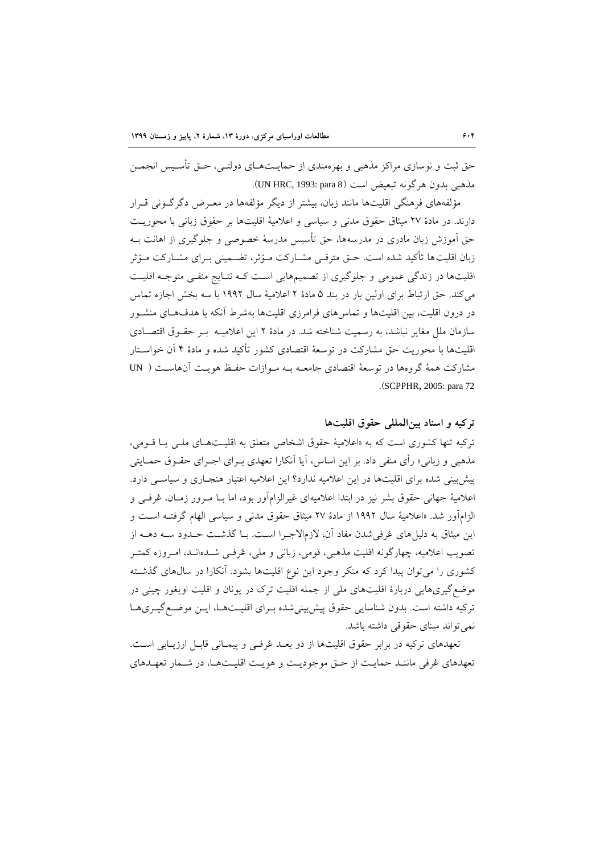حق ثبت و نوسازی مراکز مذهبی و بهرهمندی از حمایــتهــای دولتــی، حــق تأســيس انجمــن مذهبی بدون هرگونه تبعیض است )8 para 1993: ,HRC UN).

مؤلفههای فرهنگی اقلیتها مانند زبان، بیشتر از دیگر مؤلفهها در معـرض دگرگــونی قــرار دارند. در مادۀ 70 میثاق حقوق مدنی و سیاسی و اعالمیۀ اقلیتها بر حقوق زبانی با محوریات حق آموزش زبان مادری در مدرسهها، حق تأسیس مدرسۀ خصوصی و جلوگیری از اهانت باه زبان اقلیتها تأکید شده است. حــق مترقــی مشــارکت مــؤثر، تضــمینی بــرای مشــارکت مــؤثر اقلیتها در زندگی عمومی و جلوگیری از تصمیمهایی است کـه نتـایج منفـی متوجـه اقلیـت میکند. حق ارتباط برای اولین بار در بند ۵ مادۀ ۲ اعلامیۀ سال ۱۹۹۲ با سه بخش اجازه تماس در درون اقلیت، بین اقلیتها و تماسهای فرامرزی اقلیتها بهشرط آنکه با هدفهای منشـور سازمان ملل مغایر نباشد، به رسمیت شناخته شد. در مادۀ 7 این اعالمیاه بار حقاوق اقتصاادی اقلیتها با محوریت حق مشارکت در توسعۀ اقتصادی کشور تأکید شده و مادۀ 1 آن خواساتار مشارکت همۀ گروهها در توسعۀ اقتصادی جامعـه بـه مـوازات حفـظ هویـت آنهاسـت ( UN .)SCPPHR, 2005: para 72

#### **تركيه و اسناد بينالمللی حقوق اقليتها**

ترکیه تنها کشوری است که به «اعلامیۀ حقوق اشخاص متعلق به اقلیـتهـای ملـی یــا قــومی، مذهبی و زبانی» رأی منفی داد. بر این اساس، آیا آنکارا تعهدی بــرای اجــرای حقــوق حمــایتی پیش بینی شده برای اقلیتها در این اعلامیه ندارد؟ این اعلامیه اعتبار هنجباری و سیاسبی دارد. اعلامیۀ جهانی حقوق بشر نیز در ابتدا اعلامیهای غیرالزامآور بود، اما بــا مــرور زمــان، عُرفــی و الزامآور شد. «اعلامیۀ سال ۱۹۹۲ از مادۀ ۲۷ میثاق حقوق مدنی و سیاسی الهام گرفتــه اسـت و این میثاق به دلیل های عُرفی شدن مفاد آن، لازمالاجـرا اسـت. بـا گذشـت حـدود سـه دهــه از تصویب اعلامیه، چهارگونه اقلیت مذهبی، قومی، زبانی و ملی، عُرفـی شـدهانـد، امـروزه کمتـر کشوری را می توان پیدا کرد که منکر وجود این نوع اقلیتها بشود. آنکارا در سال های گذشته موضعگیریهایی دربارۀ اقلیتهای ملی از جمله اقلیت تر در یونان و اقلیت اویغور چینی در ترکیه داشته است. بدون شناسایی حقوق پیش بینی شده بـرای اقلیـتهـا، ایـن موضـع گیـریهـا نمیتواند مبنای حقوقی داشته باشد.

تعهدهای ترکیه در برابر حقوق اقلیتها از دو بعاد عُرفای و پیماانی قابال ارزیاابی اسات. تعهدهای عُرفی ماننـد حمایـت از حـق موجودیـت و هویـت اقلیـتهـا، در شـمار تعهـدهای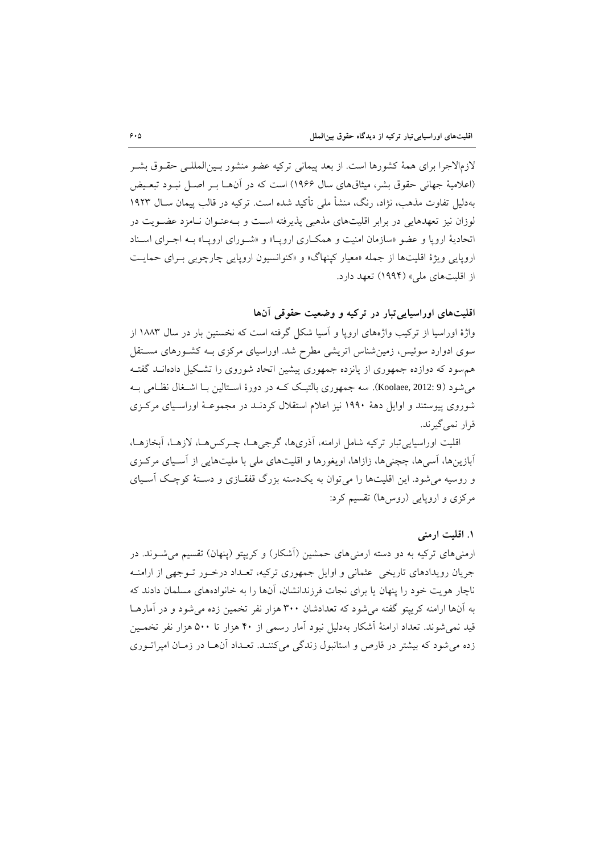لازمالاجرا برای همۀ کشورها است. از بعد پیمانی ترکیه عضو منشور بـینالمللـی حقـوق بشـر (اعلامیۀ جهانی حقوق بشر، میثاقهای سال ۱۹۶۶) است که در آنهــا بــر اصــل نبــود تبعــیض بهدلیل تفاوت مذهب، نژاد، رنگ، منشأ ملی تأکید شده است. ترکیه در قالب پیمان ساا 5179 لوزان نیز تعهدهایی در برابر اقلیتهای مذهبی پذیرفته است و بـه عنـوان نـامزد عضـویت در اتحادیۀ اروپا و عضو «سازمان امنیت و همکـاری اروپـا» و «شـورای اروپـا» بـه اجـرای اسـناد اروپایی ویژۀ اقلیتها از جمله «معیار کپنهاگ» و «کنوانسیون اروپایی چارچوبی بـرای حمایـت از اقلیتهای ملی» (۱۹۹۴) تعهد دارد.

**اقليتهاي اوراسياییتبار در تركيه و وضعيت حقوقی آنها**

واژۀ اوراسیا از ترکیب واژههای اروپا و آسیا شکل گرفته است که نخستین بار در سال ۱۸۸۳ از سوی ادوارد سوئیس، زمین شناس اتریشی مطرح شد. اوراسیای مرکزی بـه کشـورهای مسـتقل هم سود که دوازده جمهوری از پانزده جمهوری پیشین اتحاد شوروی را تشکیل دادهانـد گفتـه میشود (8 :Koolaee, 2012). سه جمهوری بالتیک کـه در دورۀ اسـتالین بــا اشــغال نظــامی بــه شوروی پیوستند و اوایل دهۀ 5115 نیز اعالم استقال کردناد در مجموعاۀ اوراسایای مرکازی قرار نمیگیرند.

اقلیت اوراسیاییتبار ترکیه شامل ارامنه، آذریها، گرجیهاا، چارکس هاا، الزهاا، آب،ازهاا، آبازینها، آسیها، چچنیها، زازاها، اویغورها و اقلیتهای ملی با ملیتهایی از آسایای مرکازی و روسیه می شود. این اقلیتها را میتوان به یکدسته بزرگ قفقـازی و دسـتهٔ کوچـک آسـیای مرکزی و اروپایی (روسها) تقسیم کرد:

### **.3 اقليت ارمنی**

ارمنیهای ترکیه به دو دسته ارمنیهای حمشین (آشکار) و کریپتو (پنهان) تقسیم می شـوند. در جریان رویدادهای تاریخی عثمانی و اوایل جمهوری ترکیه، تعـداد درخـور تـوجهی از ارامنـه ناچار هویت خود را پنهان یا برای نجات فرزندانشان، آنها را به خانوادههای مسلمان دادند که به آنها ارامنه کریپتو گفته می شود که تعدادشان ۳۰۰ هزار نفر تخمین زده می شود و در آمارهـا قید نمی شوند. تعداد ارامنۀ آشکار بهدلیل نبود آمار رسمی از ۴۰ هزار تا ۵۰۰ هزار نفر تخمـین زده می شود که بیشتر در قارص و استانبول زندگی میکننـد. تعـداد آنهـا در زمـان امپراتــوری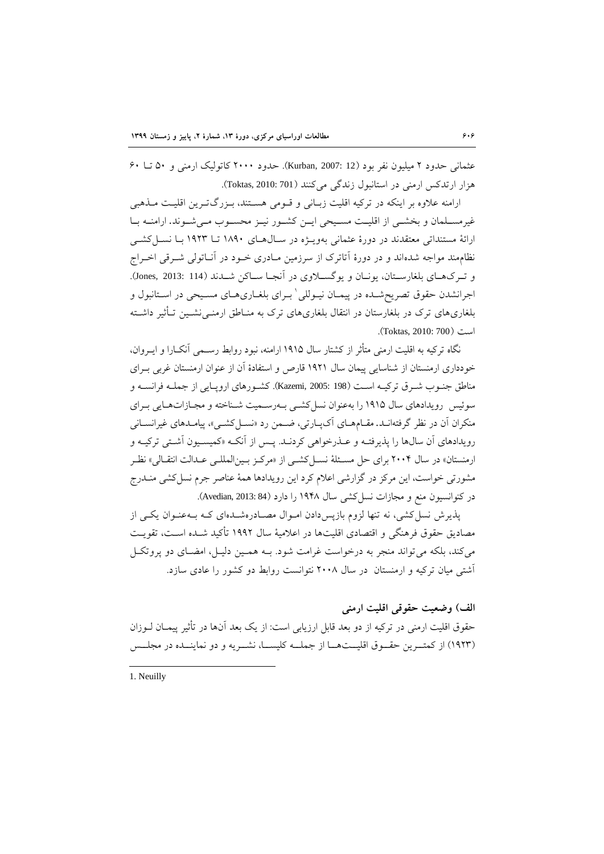عثمانی حدود 7 میلیون نفر بود )12 2007: ,Kurban). حدود 7555 کاتولی ارمنی و 15 تاا 15 هزار ارتدکس ارمنی در استانبو زندگی میکنند )701 2010: ,Toktas).

ارامنه علاوه بر اینکه در ترکیه اقلیت زبـانی و قـومی هسـتند، بـزرگتـرین اقلیـت مـذهبی غیرمسـلمان و بخشـی از اقلیـت مسـیحی ایـن کشـور نیـز محسـوب مـیشـوند. ارامنـه بـا ارائۀ مستنداتی معتقدند در دورۀ عثمانی بهویــژه در ســال۱هــای ۱۸۹۰ تــا ۱۹۲۳ بــا نســا کشــی نظاممند مواجه شدهاند و در دورۀ آتاترک از سرزمین مـادری خــود در آنــاتولی شــرقی اخــراج و تـر كـهـای بلغارسـتان، یونـان و یوگسـلاوی در آنجـا سـاكن شــدند (Jones, 2013: 114). جرانشدن حقوق تصریحشـده در پیمـان نیــوللی ٰ بــرای بلغــاریهــای مسـیحی در اســتانبول و بلغاریهای ترک در بلغارستان در انتقال بلغاریهای ترک به منـاطق ارمنــی نشــین تــأثیر داشــته است )700 2010: ,Toktas).

نگاه ترکیه به اقلیت ارمنی متأثر از کشتار سال ۱۹۱۵ ارامنه، نبود روابط رسـمی آنکــارا و ایــروان، خودداری ارمنستان از شناسایی پیمان سال ۱۹۲۱ قارص و استفادۀ آن از عنوان ارمنستان غربی بـرای مناطق جنـوب شـرق ترکیـه اسـت (198 :2005 .Kazemi). کشـورهای اروپـایی از جملـه فرانسـه و سوئیس رویدادهای سال ۱۹۱۵ را بهعنوان نسل کشبی بـهرسـمیت شـناخته و مجـازاتهـایی بـرای منکران آن در نظر گرفتهانـد. مقـامهـای آکپـارتی، ضـمن رد «نســلکشــی»، پیامـدهای غیرانســانی رویدادهای آن سالها را پذیرفتــه و عــذرخواهی کردنــد. پــس از آنکــه «کمیســیون آشــتی ترکیــه و ارمنستان» در سال ۲۰۰۴ برای حل مسـئلۀ نســل کشــی از «مرکــز بــینالمللــی عــدالت انتقــالی» نظــر مشورتی خواست، این مرکز در گزارشی اعالم کرد این رویدادها همۀ عناصر جرم نسلکشی منادرج در کنوانسیون منع و مجازات نسل کشی سال ۱۹۴۸ را دارد (84 :Avedian, 2013).

پذیرش نسل کشی، نه تنها لزوم بازپسدادن امـوال مصـادرهشـدهای کـه بـهعنـوان یکـی از مصادیق حقوق فرهنگی و اقتصادی اقلیتها در اعالمیۀ سا 5117 تأکید شاده اسات، تقویات میکند، بلکه میتواند منجر به درخواست غرامت شود. بـه همـین دلیـل، امضـای دو پروتکـل آشتی میان ترکیه و ارمنستان در سا 7552 نتوانست روابط دو کشور را عادی سازد.

# **الف( وضعيت حقوقی اقليت ارمنی**

حقوق اقلیت ارمنی در ترکیه از دو بعد قابل ارزیابی است: از یک بعد آنها در تأثیر پیمـان لـوزان (۱۹۲۳) از کمتـرین حقـوق اقلیــتهــا از جملــه کلیســا، نشــریه و دو نماینــده در مجلــس

1. Neuilly

1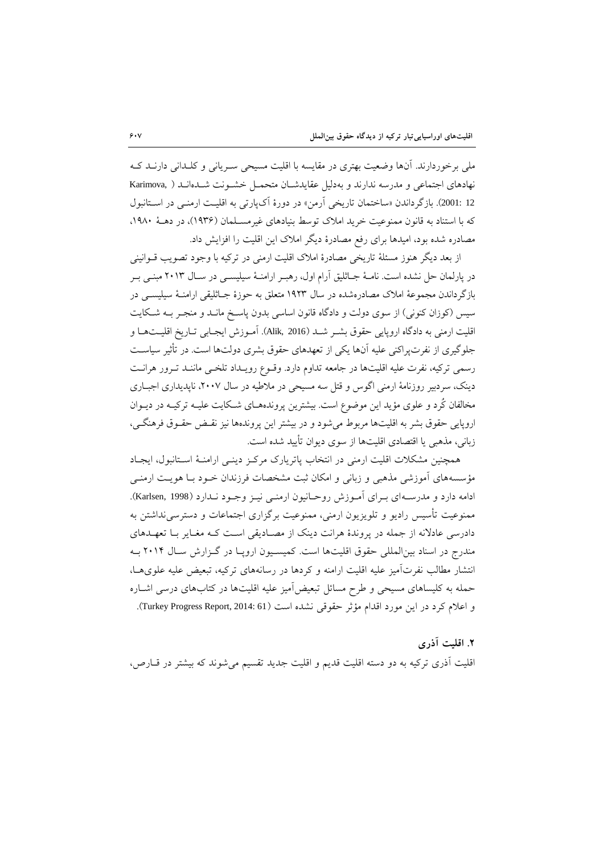ملی برخوردارند. آنها وضعیت بهتری در مقایسه با اقلیت مسیحی سـریانی و کلـدانی دارنـد کـه نهادهای اجتماعی و مدرسه ندارند و بهدلیل عقایدشـان متحمـل خشـونت شـدهانـد ( ,Karimova 12 :2001). بازگرداندن «ساختمان تاریخی آرمن» در دورۀ آکپارتی به اقلیت ارمنـی در اسـتانبول که با استناد به قانون ممنوعیت خرید املاک توسط بنیادهای غیرمسـلمان (۱۹۳۶)، در دهـۀ ۱۹۸۰، مصادره شده بود، امیدها برای رفع مصادرۀ دیگر املاک این اقلیت را افزایش داد.

از بعد دیگر هنوز مسئلۀ تاریخی مصادرۀ املاک اقلیت ارمنی در ترکیه با وجود تصویب قــوانینی در پارلمان حل نشده است. نامـۀ جــاثلیق آرام اول، رهبـر ارامنـۀ سیلیســی در ســال ۲۰۱۳ مبنــی بــر بازگرداندن مجموعۀ املاک مصادرهشده در سال ۱۹۲۳ متعلق به حوزۀ جــاثلیقی ارامنــۀ سیلیســی در سیس (کوزان کنونی) از سوی دولت و دادگاه قانون اساسی بدون پاسخ مانـد و منجـر بـه شـکایت اقلیت ارمنی به دادگاه اروپایی حقوق بشـر شـد (Alik, 2016). آمـوزش ایجـابی تـاریخ اقلیــتهــا و جلوگیری از نفرتپراکنی علیه آنها یکی از تعهدهای حقوق بشری دولتها است. در تأثیر سیاسات رسمی ترکیه، نفرت علیه اقلیتها در جامعه تداوم دارد. وقــوع رویــداد تلخــی ماننــد تــرور هرانــت دینک، سردبیر روزنامۀ ارمنی اگوس و قتل سه مسیحی در ملاطیه در سال ۲۰۰۷، ناپدیداری اجبـاری مخالفان کُرد و علوی مؤید این موضوع است. بیشترین پروندههـای شـکایت علیـه ترکیـه در دیــوان اروپایی حقوق بشر به اقلیتها مربوط میشود و در بیشتر این پروندهها نیز نقـض حقـوق فرهنگـی، زبانی، مذهبی یا اقتصادی اقلیتها از سوی دیوان تأیید شده است.

همچنین مشکلات اقلیت ارمنی در انتخاب پاتریارک مرکـز دینـی ارامنـۀ اسـتانبول، ایجـاد مؤسسههای آموزشی مذهبی و زبانی و امکان ثبت مشخصات فرزندان خـود بـا هویـت ارمنـی ادامه دارد و مدرسـهای بـرای آمـوزش روحـانیون ارمنـی نیـز وجـود نـدارد (Karlsen, 1998). ممنوعیت تأسیس رادیو و تلویزیون ارمنی، ممنوعیت برگزاری اجتماعات و دسترسینداشتن به دادرسی عادلانه از جمله در پروندۀ هرانت دینک از مصـادیقی اسـت کـه مغـایر بـا تعهــدهای مندرج در اسناد بین المللی حقوق اقلیتها است. کمیسـیون اروپـا در گـزارش سـال ۲۰۱۴ بـه انتشار مطالب نفرتآمیز علیه اقلیت ارامنه و کردها در رسانههای ترکیه، تبعیض علیه علویهاا، حمله به کلیساهای مسیحی و طرح مسائل تبعیض آمیز علیه اقلیتها در کتابهای درسی اشـاره و اعلام کرد در این مورد اقدام مؤثر حقوقی نشده است (Turkey Progress Report, 2014: 61).

**.2 اقليت آذري**  اقلیت آذری ترکیه به دو دسته اقلیت قدیم و اقلیت جدید تقسیم میشوند که بیشتر در قاارص،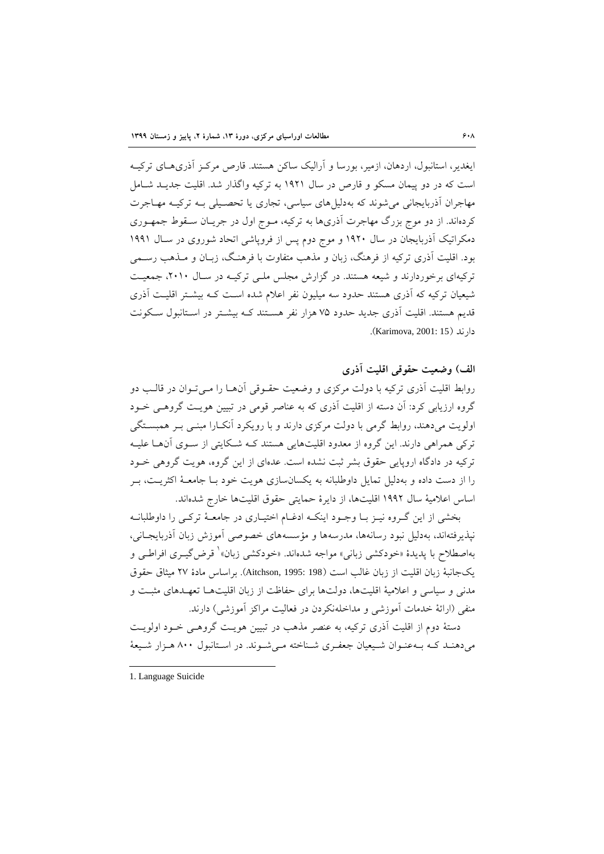ایغدیر، استانبول، اردهان، ازمیر، بورسا و آرالیک ساکن هستند. قارص مرکـز آذری۱مـای ترکیـه است که در دو پیمان مسکو و قارص در سا 5175 به ترکیه واگذار شد. اقلیت جدیاد شاامل مهاجران آذربایجانی میشوند که بهدلیلهای سیاسی، تجاری یا تحصایلی باه ترکیاه مهااجرت کردهاند. از دو موج بزرگ مهاجرت آذریها به ترکیه، مـوج اول در جریـان سـقوط جمهـوری دمکراتیک آذربایجان در سال ۱۹۲۰ و موج دوم پس از فروپاشی اتحاد شوروی در سـال ۱۹۹۱ بود. اقلیت آذری ترکیه از فرهنگ، زبان و مذهب متفاوت با فرهناگ، زباان و ماذهب رسامی ترکیهای برخوردارند و شیعه هستند. در گزارش مجلس ملـی ترکیـه در سـال ۲۰۱۰، جمعیـت شیعیان ترکیه که آذری هستند حدود سه میلیون نفر اعلام شده است کـه بیشــتر اقلیــت آذری قدیم هستند. اقلیت آذری جدید حدود 01 هزار نفر هساتند کاه بیشاتر در اساتانبو ساکونت دارند )15 2001: ,Karimova).

**الف( وضعيت حقوقی اقليت آذري**  روابط اقلیت آذری ترکیه با دولت مرکزی و وضعیت حقـوقی آنهـا را مـیتـوان در قالـب دو گروه ارزیابی کرد: آن دسته از اقلیت آذری که به عناصر قومی در تبیین هویت گروهـی خــود اولویت میدهند، روابط گرمی با دولت مرکزی دارند و با رویکرد آنکـارا مبنـی بـر همبسـتگی ترکی همراهی دارند. این گروه از معدود اقلیتهایی هستند کـه شـکایتی از سـوی آنهـا علیـه ترکیه در دادگاه اروپایی حقوق بشر ثبت نشده است. عدهای از این گروه، هویت گروهی خاود را از دست داده و بهدلیل تمایل داوطلبانه به یکسانسازی هویت خود بـا جامعـۀ اکثریــت، بـر اساس اعلامیۀ سال ۱۹۹۲ اقلیتها، از دایرۀ حمایتی حقوق اقلیتها خارج شدهاند.

بخشی از این گـروه نیـز بـا وجـود اینکـه ادغـام اختیـاری در جامعـهٔ ترکـی را داوطلبانـه نپذیرفتهاند، بهدلیل نبود رسانهها، مدرسهها و مؤسسههای خصوصی آموزش زبان آذربایجا انی، بهاصطلاح با پدیدۀ «خودکشی زبانی» مواجه شدهاند. «خودکشی زبان» ٰ قرض گیــری افراطــی و ی جانبۀ زبان اقلیت از زبان غالب است )198 1995: ,Aitchson). براساس مادۀ 70 میثاق حقوق مدنی و سیاسی و اعالمیۀ اقلیتها، دولتها برای حفاظت از زبان اقلیتهاا تعهاد های مثبات و منفی (ارائۀ خدمات آموزشی و مداخلهنکردن در فعالیت مراکز آموزشی) دارند.

دستۀ دوم از اقلیت آذری ترکیه، به عنصر مذهب در تبیین هویـت گروهـی خـود اولویـت میدهنـد کـه بـهعنـوان شـیعیان جعفـری شـناخته مـیشـوند. در اسـتانبول ۸۰۰ هـزار شـیعهٔ

1

<sup>1.</sup> Language Suicide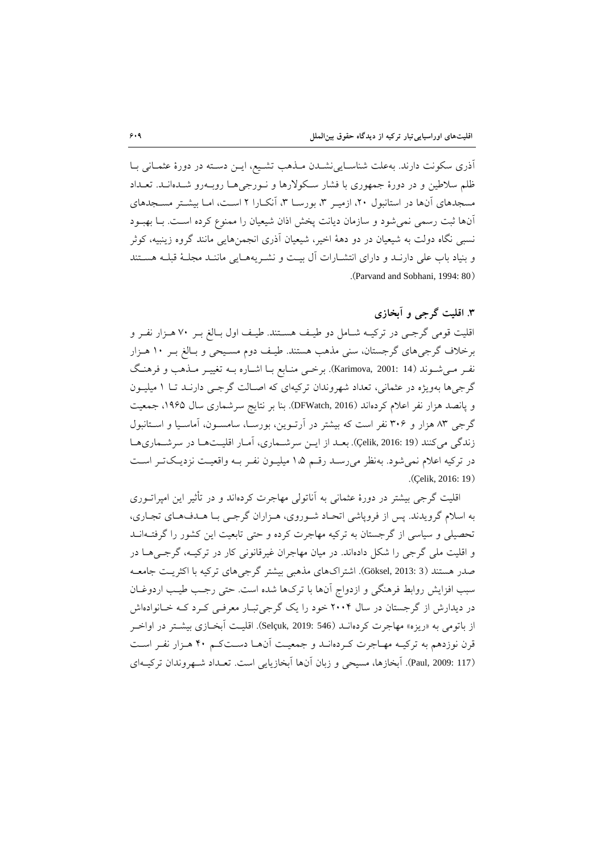آذری سکونت دارند. بهعلت شناسـایی نشــدن مــذهب تشــیع، ایــن دسـته در دورهٔ عثمــانی بــا ظلم سالطین و در دورۀ جمهوری با فشار ساکوالرها و ناورجی هاا روباه رو شاده اناد . تعاداد مسجدهای آنها در استانبول ۲۰، ازمیـر ۳، بورسـا ۳، آنکـارا ۲ اسـت، امـا بیشـتر مســجدهای آنها ثبت رسمی نمی شود و سازمان دیانت پخش اذان شیعیان را ممنوع کرده است. بـا بهبـود نسبی نگاه دولت به شیعیان در دو دهۀ اخیر، شیعیان آذری انجمنهایی مانند گروه زینبیه، کوثر و بنیاد باب علی دارنـد و دارای انتشـارات آل بیـت و نشـریههـایی ماننـد مجلـهٔ قبلـه هسـتند .)Parvand and Sobhani, 1994: 80(

**.1 اقليت گرجی و آبخازي**

اقلیت قومی گرجـی در ترکیــه شــامل دو طیـف هســتند. طیـف اول بــالغ بــر ۷۰ هــزار نفــر و برخلاف گرجیهای گرجستان، سنی مذهب هستند. طیـف دوم مسـیحی و بـالغ بـر ١٠ هـزار نف ومی شوند (14 :Karimova, 2001). برخمی منـابع بـا اشـاره بــه تغییـر مـذهب و فرهنـگ گرجیها بهویژه در عثمانی، تعداد شهروندان ترکیهای که اصـالت گرجـی دارنـد تـا ۱ میلیـون و پانصد هزار نفر اعلام کردهاند (DFWatch, 2016). بنا بر نتایج سرشماری سال ۱۹۶۵، جمعیت گرجی ۸۳ هزار و ۳۰۶ نفر است که بیشتر در آرتــوین، بورســا، سامســون، آماســیا و اســتانبول زندگی میکنند (19 Qelik, 2016: 19). بعد از این سرشماری، آمار اقلیتها در سرشماریها در ترکیه اعلام نمیشود. بهنظر میرسـد رقـم ۱،۵ میلیـون نفـر بـه واقعیـت نزدیـکتـر اسـت .(Celik, 2016: 19)

اقلیت گرجی بیشتر در دورۀ عثمانی به آناتولی مهاجرت کردهاند و در تأثیر این امپراتاوری به اسلام گرویدند. پس از فروپاشی اتحـاد شـوروی، هـزاران گرجـی بـا هـدفهـای تجـاری، تحصیلی و سیاسی از گرجستان به ترکیه مهاجرت کرده و حتی تابعیت این کشور را گرفتـهانــد و اقلیت ملی گرجی را شکل دادهاند. در میان مهاجران غیرقانونی کار در ترکیاه ، گرجای هاا در صدر هستند (3 :Göksel, 2013). اشتراکهای مذهبی بیشتر گرجیهای ترکیه با اکثریت جامعـه سبب افزایش روابط فرهنگی و ازدواج آنها با ترکها شده است. حتی رجب طیب اردوغـان در دیدارش از گرجستان در سال ۲۰۰۴ خود را یک گرجیتبار معرفی کرد که خانوادهاش از باتومی به «ریزه» مهاجرت کردهانــد (546 Selçuk, 2019:). اقلیــت آبخــازی بیشــتر در اواخــر قرن نوزدهم به ترکیـه مهـاجرت کـردهانـد و جمعیـت آنهـا دسـتکـم ۴۰ هـزار نفـر اسـت (Paul, 2009: 117). آبخازها، مسیحی و زبان آنها آبخازیایی است. تعـداد شـهروندان ترکیـهای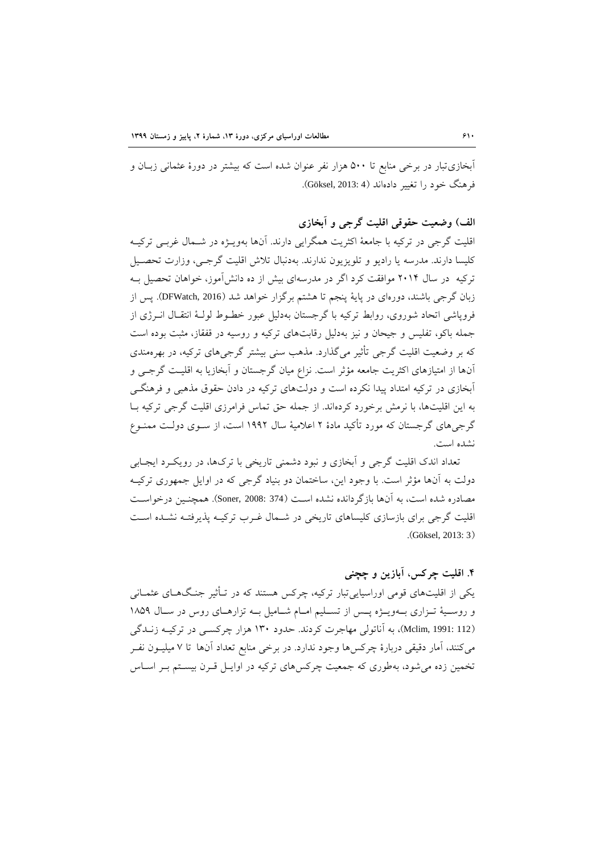آبخازیتبار در برخی منابع تا ۵۰۰ هزار نفر عنوان شده است که بیشتر در دورۀ عثمانی زبـان و فرهنگ خود را تغییر دادهاند (4 :Göksel, 2013).

# **الف( وضعيت حقوقی اقليت گرجی و آبخازي**

اقلیت گرجی در ترکیه با جامعۀ اکثریت همگرایی دارند. آنها بهویاژه در شاما غربای ترکیاه کلیسا دارند. مدرسه یا رادیو و تلویزیون ندارند. بهدنبال تلاش اقلیت گرجـی، وزارت تحصـیل ترکیه در سال ۲۰۱۴ موافقت کرد اگر در مدرسهای بیش از ده دانش آموز، خواهان تحصیل بـه زبان گرجی باشند، دورهای در پایۀ پنجم تا هشتم برگزار خواهد شد )2016 ,DFWatch). پس از فروپاشی اتحاد شوروی، روابط ترکیه با گرجستان بهدلیل عبور خطـوط لولـۀ انتقـال انــرژی از جمله باکو، تفلیس و جیحان و نیز بهدلیل رقابتهای ترکیه و روسیه در قفقاز، مثبت بوده است که بر وضعیت اقلیت گرجی تأثیر میگذارد. مذهب سنی بیشتر گرجیهای ترکیه، در بهرهمندی آنها از امتیازهای اکثریت جامعه مؤثر است. نزاع میان گرجستان و آبخازیا به اقلیت گرجـی و آبخازی در ترکیه امتداد پیدا نکرده است و دولتهای ترکیه در دادن حقوق مذهبی و فرهنگے به این اقلیتها، با نرم برخورد کردهاند. از جمله حق تماس فرامرزی اقلیت گرجی ترکیه باا گرجیهای گرجستان که مورد تأکید مادۀ 7 اعالمیۀ سا 5117 است، از ساوی د ولات ممناوع نشده است.

تعداد اندک اقلیت گرجی و آبخازی و نبود دشمنی تاریخی با ترکها، در رویک د ایجـابی دولت به آنها مؤثر است. با وجود این، ساختمان دو بنیاد گرجی که در اوایل جمهوری ترکیاه مصادره شده است، به آنها بازگردانده نشده است (374 :Soner, 2008). همچنـین درخواسـت اقلیت گرجی برای بازسازی کلیساهای تاریخی در شـمال غـرب ترکیـه پذیرفتـه نشـده اسـت .)Göksel, 2013: 3(

#### **.6 اقليت چركس، آبازین و چچنی**

یکی از اقلیتهای قومی اوراسیاییتبار ترکیه، چرکس هستند که در تاأثیر جناگ هاای عثماانی و روسـیۀ تـزاری بـهویـژه پـس از تسـلیم امـام شـامیل بـه تزارهـای روس در سـال ١٨٥٩ )112 1991: ,Mclim)، به آناتولی مهاجرت کردند. حدود 595 هزار چرکسای در ترکیاه زنادگی میکنند، آمار دقیقی دربارۀ چرکسها وجود ندارد. در برخی منابع تعداد آنها تا 0 میلیاون نفار تخمین زده میشود، بهطوری که جمعیت چرکسهای ترکیه در اوایـل قـرن بیسـتم بـر اسـاس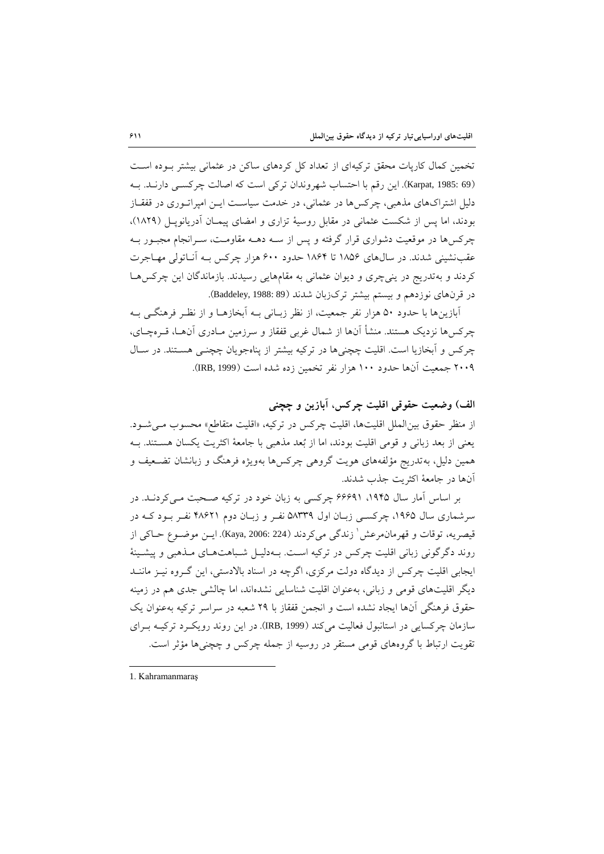تخمین کمال کارپات محقق ترکیهای از تعداد کل کردهای ساکن در عثمانی بیشتر بوده است )69 1985: ,Karpat). این رقم با احتساب شهروندان ترکی است که اصالت چرکسای دارناد. باه دلیل اشتراکهای مذهبی، چرکسها در عثمانی، در خدمت سیاست ایـن امپراتـوری در قفقـاز بودند، اما پس از شکست عثمانی در مقابل روسیۀ تزاری و امضای پیمـان آدریانوپـل (۱۸۲۹)، چرکسها در موقعیت دشواری قرار گرفته و پس از ساه دهاه مقاومات، سارانجام مجباور باه عقبنشینی شدند. در سال های ۱۸۵۶ تا ۱۸۶۴ حدود ۶۰۰ هزار چرکس بـه آنـاتولی مهـاجرت کردند و بهتدریج در ینیچری و دیوان عثمانی به مقامهایی رسیدند. بازماندگان این چرکسهاا در قرنهای نوزدهم و بیستم بیشتر ترکزبان شدند (Baddeley, 1988: 89).

آبازینها با حدود ۵۰ هزار نفر جمعیت، از نظر زبـانی بـه آبخازهـا و از نظـر فرهنگــی بـه چرکسها نزدیک هستند. منشأ آنها از شمال غربی قفقاز و سرزمین مـادری آنهـا، قـرهچـای، چرکس و آبخازیا است. اقلیت چچنیها در ترکیه بیشتر از پناهجویان چچنبی هستند. در سـال ۲۰۰۹ جمعیت آنها حدود ۱۰۰ هزار نفر تخمین زده شده است (IRB, 1999).

**الف( وضعيت حقوقی اقليت چركس، آبازین و چچنی**  از منظر حقوق بین الملل اقلیتها، اقلیت چرکس در ترکیه، «اقلیت متقاطع» محسوب مےشود. یعنی از بعد زبانی و قومی اقلیت بودند، اما از بُعد مذهبی با جامعۀ اکثریت یکسان هساتند. باه همین دلیل، بهتدریج مؤلفههای هویت گروهی چرکسها بهویژه فرهنگ و زبانشان تضـعیف و آنها در جامعۀ اکثریت جذب شدند.

بر اساس آمار سال ۱۹۴۵، ۶۶۶۹۱ چرکسی به زبان خود در ترکیه صـحبت مـیکردنـد. در سرشماری سال ۱۹۶۵، چرکسبی زبـان اول ۵۸۳۳۹ نفـر و زبـان دوم ۴۸۶۲۱ نفـر بـود کـه در قیصریه، توقات و قهرمانمرعش ٰ زندگی میکردند (Kaya, 2006: 224). ایــن موضــوع حــاکی از روند دگرگونی زبانی اقلیت چرکس در ترکیه است. بـهدلیــل شــباهتهــای مــذهبی و پیشــینۀ ایجابی اقلیت چرکس از دیدگاه دولت مرکزی، اگرچه در اسناد بالادستی، این گـروه نیـز ماننــد دیگر اقلیتهای قومی و زبانی، بهعنوان اقلیت شناسایی نشدهاند، اما چالشی جدی هم در زمینه حقوق فرهنگی آنها ایجاد نشده است و انجمن قفقاز با 71 شعبه در سراسر ترکیه بهعنوان ی سازمان چرکسایی در استانبول فعالیت میکند (IRB, 1999). در این روند رویکرد ترکیـه بـرای تقویت ارتباط با گروههای قومی مستقر در روسیه از جمله چرکس و چچنیها مؤثر است.

1

<sup>1.</sup> Kahramanmaraş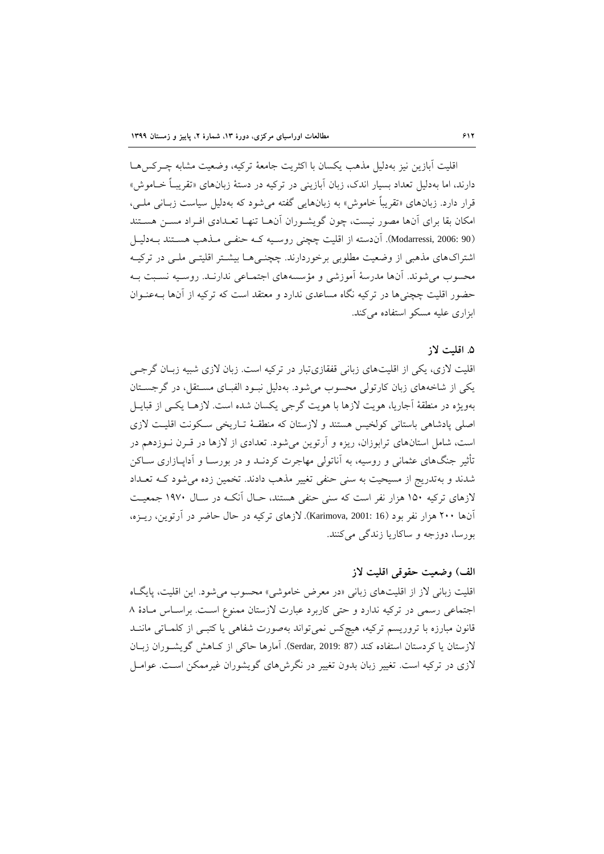اقلیت آبازین نیز بهدلیل مذهب یکسان با اکثریت جامعۀ ترکیه، وضعیت مشابه چارکس هاا دارند، اما بهدلیل تعداد بسیار اندک، زبان آبازینی در ترکیه در دستهٔ زبانهای «تقریبـاً خــاموش» قرار دارد. زبانهای »تقریبا خاموش« به زبانهایی گفته میشود که بهدلیل سیاست زباانی ملای، امکان بقا برای آنها مصور نیست، چون گویشـوران آنهـا تنهـا تعـدادی افـراد مسـن هسـتند (90 .Modarressi, آن دسته از اقلیت چچنی روسیه کـه حنفـی مـذهب هسـتند بــه دلیــل اشتراکهای مذهبی از وضعیت مطلوبی برخوردارند. چچنبی هـا بیشـتر اقلیتـبی ملـبی در ترکیــه محسوب میشوند. آنها مدرسۀ آموزشی و مؤسسههای اجتمااعی ندارناد. روسایه نسابت باه حضور اقلیت چچنیها در ترکیه نگاه مساعدی ندارد و معتقد است که ترکیه از آنها باه عناوان ابزاری علیه مسکو استفاده میکند.

#### **.5 اقليت الز**

اقلیت لازی، یکی از اقلیتهای زبانی قفقازیتبار در ترکیه است. زبان لازی شبیه زبـان گرجـی یکی از شاخههای زبان کارتولی محسوب میشود. بهدلیل نباود الفباای مساتقل، در گرجساتان بهویژه در منطقۀ آجاریا، هویت لازها با هویت گرجی یکسان شده است. لازهـا یکـی از قبایـل اصلی پادشاهی باستانی کولخیس هستند و لازستان که منطقـهٔ تـاریخی سـکونت اقلیـت لازی است، شامل استانهای ترابوزان، ریزه و آرتوین میشود. تعدادی از الزها در قارن ناوزدهم در تأثیر جنگهای عثمانی و روسیه، به آناتولی مهاجرت کردنـد و در بورسـا و آداپـازاری ســاکن شدند و بهتدریج از مسیحیت به سنی حنفی تغییر مذهب دادند. تخمین زده می شود ک تعداد الزهای ترکیه 515 هزار نفر است که سنی حنفی هستند، حاا آنکاه در ساا 5105 جمعیات آنها ۲۰۰ هزار نفر بود (16 :Karimova, 2001). لازهای ترکیه در حال حاضر در آرتوین، ریـزه، بورسا، دوزجه و ساکاریا زندگی میکنند.

#### **الف( وضعيت حقوقی اقليت الز**

اقلیت زبانی لاز از اقلیتهای زبانی «در معرض خاموشی» محسوب می شود. این اقلیت، پایگاه اجتماعی رسمی در ترکیه ندارد و حتی کاربرد عبارت لازستان ممنوع است. براساس مادۀ ٨ قانون مبارزه با تروریسم ترکیه، هیچکس نمیتواند بهصورت شفاهی یا کتبـی از کلمـاتی ماننـد لازستان یا کردستان استفاده کند (87 :Serdar, 2019). آمارها حاکی از کـاهش گویشـوران زبـان الزی در ترکیه است. تغییر زبان بدون تغییر در نگرشهای گویشوران غیرممکن اسات . عوامال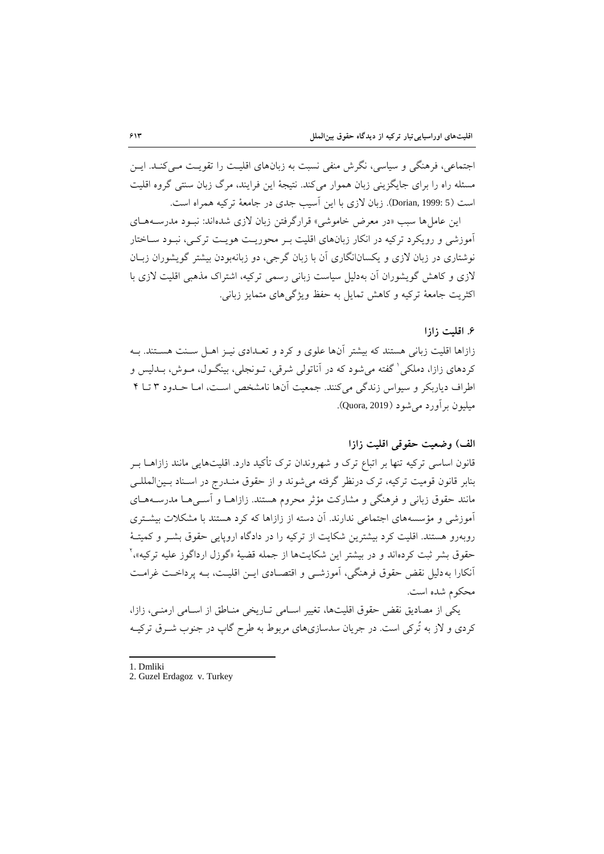اجتماعی، فرهنگی و سیاسی، نگرش منفی نسبت به زبانهای اقلیت را تقویت مـی کنـد. ایـن مسئله راه را برای جایگزینی زبان هموار میکند. نتیجۀ این فرایند، مرگ زبان سنتی گروه اقلیت است (5 :Dorian, 1999). زبان لازی با این آسیب جدی در جامعۀ ترکیه همراه است.

این عاملها سبب «در معرض خاموشی» قرارگرفتن زبان لازی شدهاند: نبـود مدرسـههـای آموزشی و رویکرد ترکیه در انکار زبانهای اقلیت بـر محوریـت هویـت ترکـی، نبـود سـاختار نوشتاری در زبان الزی و یکسانانگاری آن با زبان گرجی، دو زبانهبودن بیشتر گویشوران زباان لازی و کاهش گویشوران آن بهدلیل سیاست زبانی رسمی ترکیه، اشتراک مذهبی اقلیت لازی با اکثریت جامعۀ ترکیه و کاه تمایل به حفظ ویژگیهای متمایز زبانی.

#### **.2 اقليت زازا**

زازاها اقلیت زبانی هستند که بیشتر آنها علوی و کرد و تعـدادی نیـز اهـل سـنت هسـتند. بـه کردهای زازا، دملکی ٰ گفته میشود که در آناتولی شرقی، تــونجلی، بینگــول، مــوش، بــدلیس و اطراف دیاربکر و سیواس زندگی میکنند. جمعیت آنها نامشخص است، امـا حـدود ۳ تـا ۴ میلیون برآورد میشود )2019 ,Quora).

#### **الف( وضعيت حقوقی اقليت زازا**

قانون اساسی ترکیه تنها بر اتباع ترک و شهروندان ترک تأکید دارد. اقلیتهایی مانند زازاهــا بــر بنابر قانون قومیت ترکیه، ترک درنظر گرفته میشوند و از حقوق منـدرج در اسـناد بـین|لمللـی مانند حقوق زبانی و فرهنگی و مشارکت مؤثر محروم هستند. زازاهـا و آسـی۵هـا مدرسـههـای آموزشی و مؤسسههای اجتماعی ندارند. آن دسته از زازاها که کرد هستند با مشکالت بیشاتری روبهرو هستند. اقلیت کرد بیشترین شکایت از ترکیه را در دادگاه اروپایی حقوق بشار و کمیتا ۀ حقوق بشر ثبت کردهاند و در بیشتر این شکایتها از جمله قضیۀ «گوزل ارداگوز علیه ترکیه»،<sup>۲</sup> آنکارا به دلیل نقض حقوق فرهنگی، آموزشـی و اقتصـادی ایــن اقلیـت، بــه پرداخـت غرامـت محکوم شده است.

یکی از مصادیق نقض حقوق اقلیتها، تغییر اسـامی تـاریخی منـاطق از اسـامی ارمنـی، زازا، کردی و لاز به تُرکی است. در جریان سدسازیهای مربوط به طرح گاپ در جنوب شــرق ترکیــه

1 1. Dmliki

<sup>2.</sup> Guzel Erdagoz v. Turkey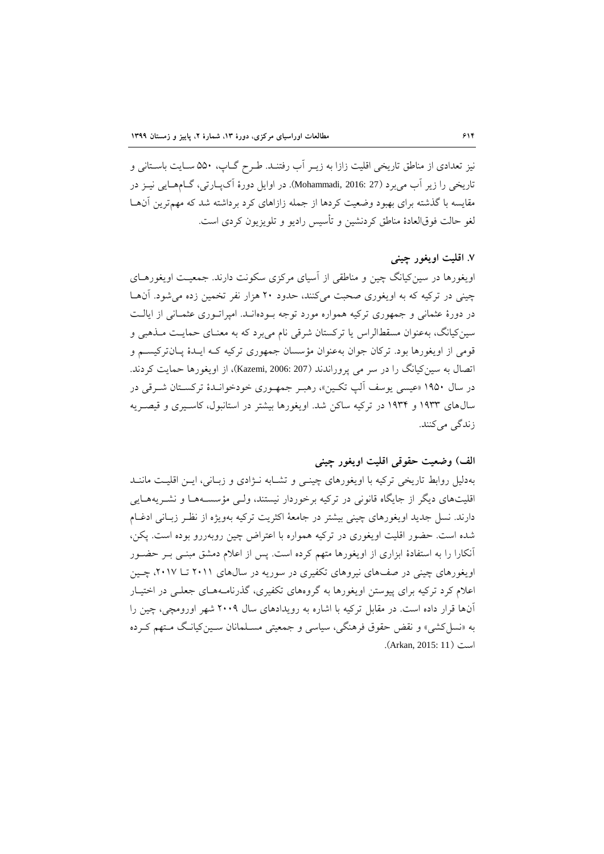نیز تعدادی از مناطق تاریخی اقلیت زازا به زیــر آب رفتنــد. طــرح گــاپ، ۵۵۰ ســایت باســتانی و تاریخی را زیر آب میبرد (27 :Mohammadi, 2016 ). در اوایل دورۀ آکیبارتی، گــامهــایی نیــز در مقایسه با گذشته برای بهبود وضعیت کردها از جمله زازاهای کرد برداشته شد که مهمترین آنهاا لغو حالت فوقالعادۀ مناطق کردنشین و تأسیس رادیو و تلویزیون کردی است.

#### **.6 اقليت اویغور چينی**

اویغورها در سینکیانگ چین و مناطقی از آسیای مرکزی سکونت دارند. جمعیات اویغورهاای چینی در ترکیه که به اویغوری صحبت میکنند، حدود ۲۰ هزار نفر تخمین زده می شود. آنها در دورۀ عثمانی و جمهوری ترکیه همواره مورد توجه بـودهانـد. امپراتـوری عثمـانی از ایالـت سین کیانگ، بهعنوان مسقطالراس یا ترکستان شرقی نام می برد که به معنـای حمایـت مـذهبی و قومی از اویغورها بود. ترکان جوان بهعنوان مؤسسان جمهوری ترکیه کـه ایـدۀ پـانترکیســم و اتصال به سین کیانگ را در سر می پروراندند (207 :Kazemi, 2006)، از اویغورها حمایت کردند. در سال ۱۹۵۰ «عیسی یوسف آلپ تکین»، رهبـر جمهـوری خودخوانـدۀ ترکسـتان شـرقی در سال های ۱۹۳۳ و ۱۹۳۴ در ترکیه ساکن شد. اویغورها بیشتر در استانبول، کاسپری و قیصـریه زندگی میکنند.

#### **الف( وضعيت حقوقی اقليت اویغور چينی**

بهدلیل روابط تاریخی ترکیه با اویغورهای چینبی و تشـابه نـژادی و زبـانی، ایـن اقلیـت ماننـد اقلیتهای دیگر از جایگاه قانونی در ترکیه برخوردار نیستند، ولـی مؤسسـههـا و نشـریههـایی دارند. نسل جدید اویغورهای چینی بیشتر در جامعۀ اکثریت ترکیه بهویژه از نظار زباانی ادغاام شده است. حضور اقلیت اویغوری در ترکیه همواره با اعتران چین روبهررو بوده است. پکن، آنکارا را به استفادۀ ابزاری از اویغورها متهم کرده است. پس از اعالم دمشق مبنای بار حضاور اویغورهای چینی در صفهای نیروهای تکفیری در سوریه در سالهای ۲۰۱۱ تــا ۲۰۱۷، چــین اعلام کرد ترکیه برای پیوستن اویغورها به گروههای تکفیری، گذرنامـههـای جعلـی در اختیـار آنها قرار داده است. در مقابل ترکیه با اشاره به رویدادهای سا 7551 شهر اورومچی، چین را به »نسلکشی« و نقض حقوق فرهنگی، سیاسی و جمعیتی مسالمانان ساین کیاناگ ماتهم کارده است )11 2015: ,Arkan).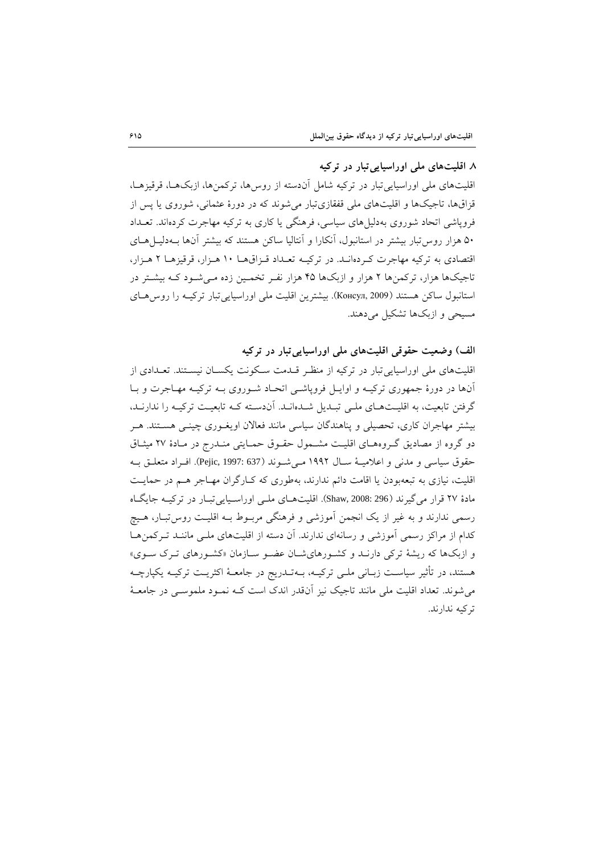# **.6 اقليتهاي ملی اوراسياییتبار در تركيه**

اقلیتهای ملی اوراسیایی تبار در ترکیه شامل آندسته از روس ها، ترکمنها، ازبکهها، قرقیزهـا، قزاقها، تاجیکها و اقلیتهای ملی قفقازیتبار میشوند که در دورۀ عثمانی، شوروی یا پس از فروپاشی اتحاد شوروی بهدلیلهای سیاسی، فرهنگی یا کاری به ترکیه مهاجرت کردهاند. تعاداد ۵۰ هزار روس تبار بیشتر در استانبول، آنکارا و آنتالیا ساکن هستند که بیشتر آنها بـهدلیـــا هــای اقتصادی به ترکیه مهاجرت کـردهانـد. در ترکیـه تعـداد قـزاقهـا ١٠ هـزار، قرقیزهـا ٢ هـزار، تاجیکها هزار، ترکمنها ۲ هزار و ازبکها ۴۵ هزار نفـر تخمـین زده مـیشـود کـه بیشـتر در استانبول ساکن هستند (Консул, 2009). بیشترین اقلیت ملی اوراسیاییتبار ترکیه را روس های مسیحی و ازبکها تشکیل می دهند.

**الف( وضعيت حقوقی اقليتهاي ملی اوراسياییتبار در تركيه**

اقلیتهای ملی اوراسیاییتبار در ترکیه از منظار قادمت ساکونت یکساان نیساتند. تعادادی از آنها در دورۀ جمهوری ترکیـه و اوایـل فروپاشـی اتحـاد شـوروی بـه ترکیـه مهـاجرت و بـا گرفتن تابعیت، به اقلیتهای ملبی تبلدیل شـدهانـد. آن‹سـته کـه تابعیـت ترکیـه را ندارنـد، بیشتر مهاجران کاری، تحصیلی و پناهندگان سیاسی مانند فعالان اویغـوری چینـی هسـتند. هـر دو گروه از مصادیق گـروههای اقلیـت مشـمول حقـوق حمـایتی منـدرج در مـادهٔ ۲۷ میثـاق حقوق سیاسی و مدنی و اعلامیـهٔ سـال ۱۹۹۲ مـیشـوند (637 :637). افـراد متعلـق بـه اقلیت، نیازی به تبعهبودن یا اقامت دائم ندارند، بهطوری که کـارگران مهـاجر هـم در حمایـت مادۀ 70 قرار میگیرند )296 2008: ,Shaw). اقلیتهاای ملای اوراسایایی تباار در ترکیاه جایگااه رسمی ندارند و به غیر از یک انجمن آموزشی و فرهنگی مربـوط بـه اقلیـت روس'تبـار، هـیچ کدام از مراکز رسمی آموزشی و رسانهای ندارند. آن دسته از اقلیتهای ملـی ماننـد تـرکمنهـا و ازبکها که ریشۀ ترکی دارنـد و کشـورهایشـان عضـو سـازمان «کشـورهای تـرک سـوی» هستند، در تأثیر سیاست زبـانی ملـی ترکیــه، بــهتــدریج در جامعــهٔ اکثریــت ترکیــه یکپارچــه می شوند. تعداد اقلیت ملی مانند تاجیک نیز آنقدر اندک است کـه نمـود ملموسـی در جامعـهٔ ترکیه ندارند.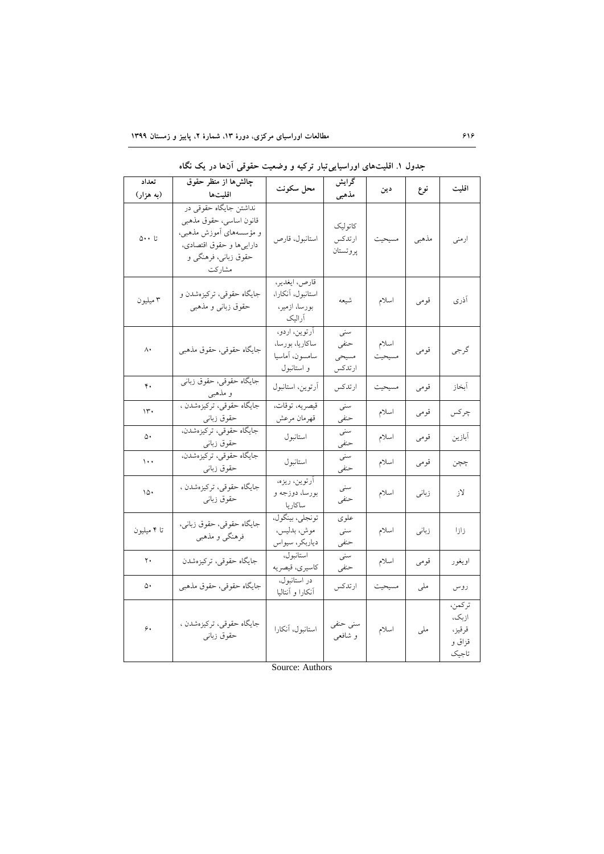| تعداد<br>(به هزار)    | چالشها از منظر حقوق<br>اقليتها                                                                                                                          | محل سکونت                                                        | گرایش<br>مذهبي                  | دين             | نوع   | اقليت                                        |
|-----------------------|---------------------------------------------------------------------------------------------------------------------------------------------------------|------------------------------------------------------------------|---------------------------------|-----------------|-------|----------------------------------------------|
| $\circ \cdot \cdot$ 5 | نداشتن جایگاه حقوق <sub>ی</sub> در<br>قانون اساسى، حقوق مذهبى<br>و مؤسسههای آموزش مذهبی،<br>دارايي ها و حقوق اقتصادي،<br>حقوق زبانی، فرهنگی و<br>مشاركت | استانبول، قارص                                                   | كاتوليك<br>ارتدكس<br>پروتستان   | مسيحيت          | مذهبي | ارمنى                                        |
| ۳ میلیون              | جایگاه حقوقی، ترکیزهشدن و<br>حقوق زبانى و مذهبى                                                                                                         | قارص، ايغدير،<br>استانبول، أنكارا،<br>بورسا، ازمیر،<br>أراليك    | شيعه                            | اسلام           | قومى  | آذرى                                         |
| ٨٠                    | جايگاه حقوقى، حقوق مذهبى                                                                                                                                | آرتوين، اردو،<br>ساكاريا، بورسا،<br>سامسون، أماسيا<br>و استانبول | سنبى<br>حنفى<br>مسيحى<br>ارتدكس | اسلام<br>مسيحيت | قومى  | گرجي                                         |
| ۴.                    | جایگاه حقوقی، حقوق زبانی<br>و مذهبي                                                                                                                     | أرتوين، استانبول                                                 | ارتدكس                          | مسيحيت          | قومي  | أبخاز                                        |
| ۱۳۰                   | جايگاه حقوقي، تركيزهشدن ،<br>حقوق زبانى                                                                                                                 | قيصريه، توقات،<br>قهرمان مرعش                                    | يسنبى<br>حنفى                   | اسلام           | قومي  | چر کس                                        |
| ۵۰                    | جايگاه حقوقى، تركيزهشدن،<br>حقوق زبانى                                                                                                                  | استانبول                                                         | سنی<br>حنفى                     | اسلام           | قومى  | أبازين                                       |
| $\cdots$              | جايگاه حقوقي، تركيزهشدن.<br>حقوق زبانى                                                                                                                  | استانبول                                                         | سنبى<br>حنفى                    | اسلام           | قومى  | چچن                                          |
| ۱۵۰                   | جايگاه حقوقى، تركيزهشدن ،<br>حقوق زبانى                                                                                                                 | أرتوين، ريزه،<br>بورسا، دوزجه و<br>ساكاريا                       | سنى<br>حنفى                     | اسلام           | زباني | لاز                                          |
| تا ۴ میلیون           | جايگاه حقوقي، حقوق زباني،<br>فرهنگی و مذهبی                                                                                                             | تونجلي، بينگول،<br>موش، بدليس،<br>دياربكر، سيواس                 | علو ی<br>يسنى<br>حنفى           | اسلام           | زباني | زازا                                         |
| ٢٠                    | جايگاه حقوقي، تركيزهشدن                                                                                                                                 | استانبول،<br>كاسيرى، قيصريه                                      | سنبى<br>حنفى                    | اسلام           | قومي  | اويغور                                       |
| ۵۰                    | جايگاه حقوقي، حقوق مذهبي                                                                                                                                | در استانبول،<br>أنكارا و أنتاليا                                 | ارتدكس                          | مسيحيت          | ملي   | روس                                          |
| ۶.                    | جايگاه حقوقى، تركيزهشدن ،<br>حقوق زبانى                                                                                                                 | استانبول، آنکارا                                                 | سنى حنفى<br>و شافعي             | اسلام           | ملى   | تركمن،<br>ازبک،<br>قرقيز،<br>قزاق و<br>تاجيک |

**جدول .3 اقليتهاي اوراسياییتبار تركيه و وضعيت حقوقی آنها در یک نگاه**

Source: Authors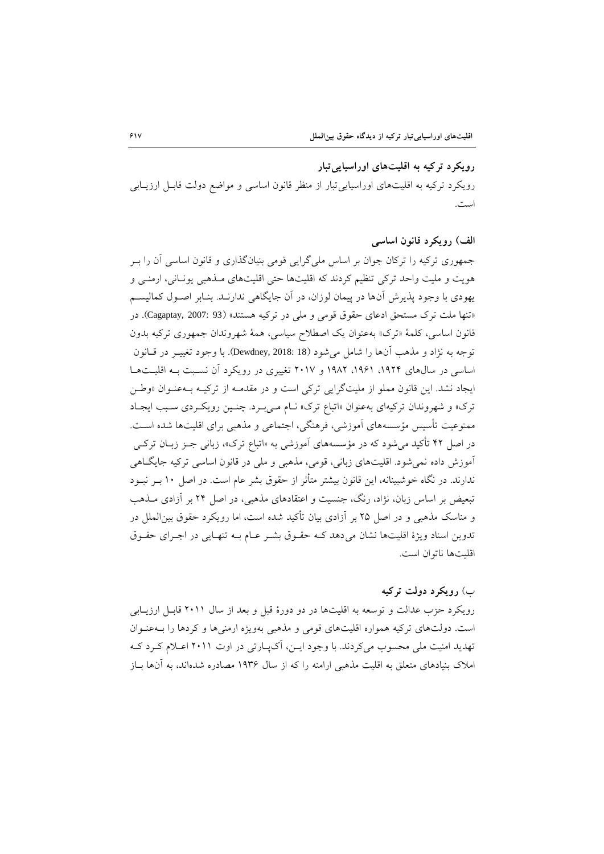**رویکرد تركيه به اقليتهاي اوراسياییتبار**  رویکرد ترکیه به اقلیتهای اوراسیایی تبار از منظر قانون اساسی و مواضع دولت قابـل ارزیــابی است.

## **الف( رویکرد قانون اساسی**

جمهوری ترکیه را ترکان جوان بر اساس ملیگرایی قومی بنیانگذاری و قانون اساسی آن را بار هویت و ملیت واحد ترکی تنظیم کردند که اقلیتها حتی اقلیتهای ماذهبی یوناانی، ارمنای و یهودی با وجود پذیرش آنها در پیمان لوزان، در آن جایگاهی ندارناد. بناابر اصاو کمالیسام «تنها ملت ترک مستحق ادعای حقوق قومی و ملی در ترکیه هستند» (93 :2007 .Cagaptay, 2007). در قانون اساسی، کلمۀ «ترک» بهعنوان یک اصطلاح سیاسی، همۀ شهروندان جمهوری ترکیه بدون توجه به نژاد و مذهب آنها را شامل میشود )18 2018: ,Dewdney). با وجود تغییار در قاانون اساسى در سال هاى ١٩٢۴، ١٩۶١، ١٩٨٢ و ٢٠١٧ تغییرى در رویکرد آن نسـبت بـه اقلیـتهـا ایجاد نشد. این قانون مملو از ملیتگرایی ترکی است و در مقدمـه از ترکیـه بـهعنـوان «وطـن ترک» و شهروندان ترکیهای بهعنوان «اتباع ترک» نـام مـیبـرد. چنـین رویکـردی سـبب ایجـاد ممنوعیت تأسیس مؤسسههای آموزشی، فرهنگی، اجتماعی و مذهبی برای اقلیتها شده اسات. در اصل ۴۲ تأکید می شود که در مؤسسههای آموزشى به «اتباع ترک»، زبانى جـز زبــان ترکــى آموزش داده نمیشود. اقلیتهای زبانی، قومی، مذهبی و ملی در قانون اساسی ترکیه جایگااهی ندارند. در نگاه خوشبینانه، این قانون بیشتر متأثر از حقوق بشر عام است. در اصل 55 بار نباود تبعیض بر اساس زبان، نژاد، رنگ، جنسیت و اعتقادهای مذهبی، در اصل 71 بر آزادی ماذهب و مناسک مذهبی و در اصل ۲۵ بر آزادی بیان تأکید شده است، اما رویکرد حقوق بین|لملل در تدوین اسناد ویژۀ اقلیتها نشان می دهد کـه حقـوق بشـر عـام بـه تنهـایی در اجـرای حقـوق اقلیتها ناتوان است.

# ب( **رویکرد دولت تركيه**

رویکرد حزب عدالت و توسعه به اقلیتها در دو دورۀ قبل و بعد از سا 7555 قابال ارزیاابی است. دولتهای ترکیه همواره اقلیتهای قومی و مذهبی بهویژه ارمنیها و کردها را باه عناوان تهدید امنیت ملی محسوب میکردند. با وجود ایـن، آکپـارتی در اوت ۲۰۱۱ اعـلام کـرد کـه املاک بنیادهای متعلق به اقلیت مذهبی ارامنه را که از سال ۱۹۳۶ مصادره شدهاند، به آنها بــاز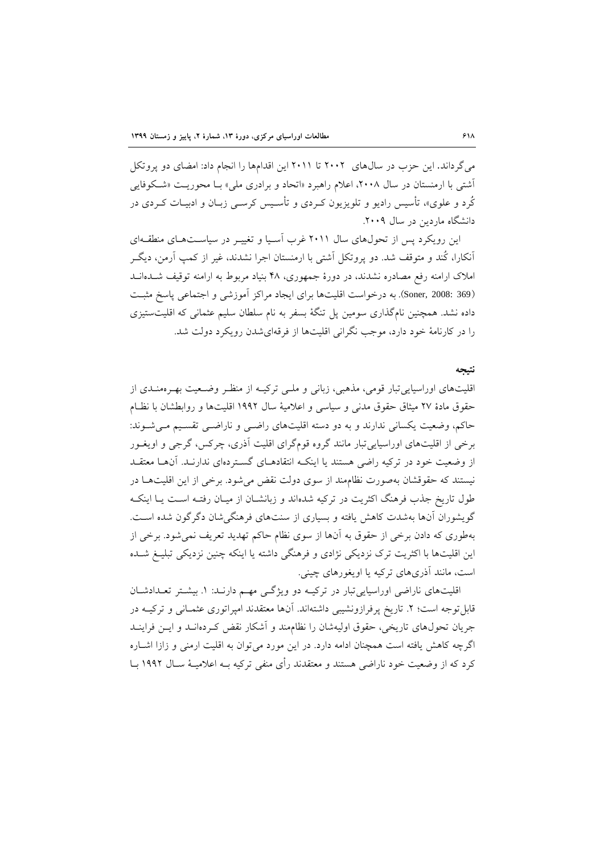میگرداند. این حزب در سال های ۲۰۰۲ تا ۲۰۱۱ این اقدامها را انجام داد: امضای دو پروتکل آشتی با ارمنستان در سال ۲۰۰۸، اعلام راهبرد «اتحاد و برادری ملی» بـا محوریـت «شـکوفایی کُرد و علوی»، تأسیس رادیو و تلویزیون کـردی و تأسـیس کرســی زبــان و ادبیــات کــردی در دانشگاه ماردین در سال ۲۰۰۹.

این رویکرد پس از تحولهای سال ۲۰۱۱ غرب آسیا و تغییـر در سیاسـتهـای منطقـهای آنکارا، کُند و متوقف شد. دو پروتکل آشتی با ارمنستان اجرا نشدند، غیر از کمپ آرمن، دیگـر املاک ارامنه رفع مصادره نشدند، در دورۀ جمهوری، ۴۸ بنیاد مربوط به ارامنه توقیف شـدهانـد )369 2008: ,Soner). به درخواست اقلیتها برای ایجاد مراکز آموزشی و اجتماعی پاسخ مثبات داده نشد. همچنین نامگذاری سومین پل تنگۀ بسفر به نام سلطان سلیم عثمانی که اقلیتستیزی را در کارنامۀ خود دارد، موجب نگرانی اقلیتها از فرقهایشدن رویکرد دولت شد.

#### **نتيجه**

اقلیتهای اوراسیایی تبار قومی، مذهبی، زبانی و ملـی ترکیـه از منظـر وضـعیت بهـرهمنـدی از حقوق مادۀ 70 میثاق حقوق مدنی و سیاسی و اعالمیۀ سا 5117 اقلیتها و روابطشان با نظاام حاکم، وضعیت یکسانی ندارند و به دو دسته اقلیتهای راضـی و ناراضـی تقسـیم مـیشـوند: برخی از اقلیتهای اوراسیاییتبار مانند گروه قومگرای اقلیت آذری، چرکس، گرجی و اویغاور از وضعیت خود در ترکیه راضی هستند یا اینکه انتقادهـای گسـتردهای ندارنـد. آنهـا معتقـد نیستند که حقوقشان بهصورت نظاممند از سوی دولت نقض میشود. برخی از این اقلیتهاا در طول تاریخ جذب فرهنگ اکثریت در ترکیه شدهاند و زبانشـان از میـان رفتـه اسـت یـا اینکـه گویشوران آنها بهشدت کاهش یافته و بسیاری از سنتهای فرهنگیشان دگرگون شده است. بهطوری که دادن برخی از حقوق به آنها از سوی نظام حاکم تهدید تعریف نمیشود. برخی از این اقلیتها با اکثریت ترک نزدیکی نژادی و فرهنگی داشته یا اینکه چنین نزدیکی تبلیـغ شـده است، مانند آذریهای ترکیه یا اویغورهای چینی.

اقلیتهای ناراضی اوراسیاییتبار در ترکیـه دو ویژگـی مهـم دارنـد: ١. بیشـتر تعـدادشـان قابل توجه است؛ ۲. تاریخ پرفرازونشیبی داشتهاند. آنها معتقدند امپراتوری عثمـانی و ترکیــه در جریان تحول های تاریخی، حقوق اولیهشان را نظام مند و آشکار نقض که دهانــد و ایــن فراینــد اگرچه کاهش یافته است همچنان ادامه دارد. در این مورد میتوان به اقلیت ارمنی و زازا اشـاره کرد که از وضعیت خود ناراضی هستند و معتقدند رأی منفی ترکیه بــه اعلامیــهٔ ســال ۱۹۹۲ بــا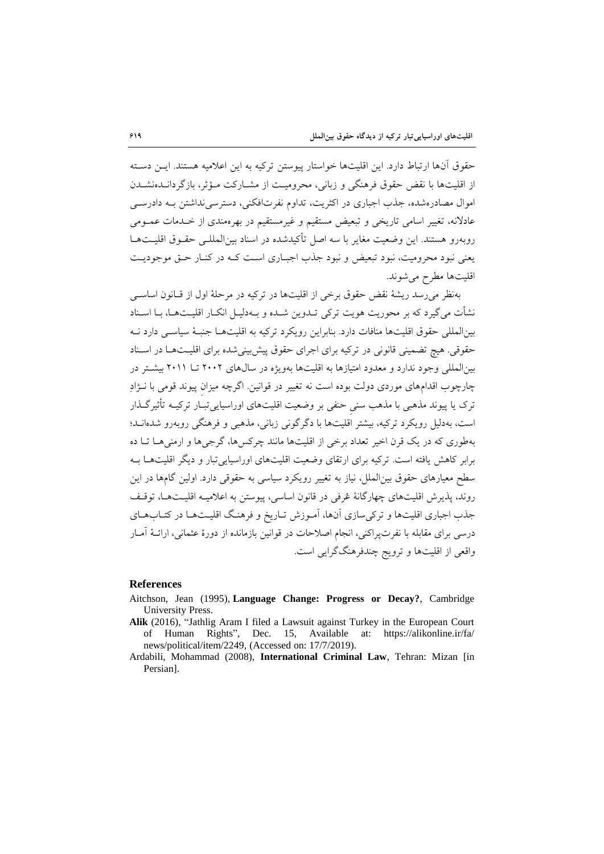حقوق آنها ارتباط دارد. این اقلیتها خواستار پیوستن ترکیه به این اعالمیه هستند. ایان دساته از اقلیتها با نقض حقوق فرهنگی و زبانی، محرومیت از مشیارکت میؤثر، بازگردانیدهنشیدن اموال مصادرهشده، جذب اجباری در اکثریت، تداوم نفرتافکنی، دسترسی نداشتن بـه دادرسـی عادلانه، تغییر اسامی تاریخی و تبعیض مستقیم و غیرمستقیم در بهرهمندی از خلدمات عمـومی روبهرو هستند. این وضعیت مغایر با سه اصل تأکیدشده در اسناد بینالمللای حقاوق اقلیات هاا یعنی نبود محرومیت، نبود تبعیض و نبود جذب اجبـاری اسـت کـه در کنـار حـق موجودیـت اقلیتها مطرح میشوند.

بهنظر میرسد ریشۀ نقض حقوق برخی از اقلیتها در ترکیه در مرحلۀ او از قاانون اساسای نشأت می گیرد که بر محوریت هویت ترکی تــدوین شــده و بــهدلیــل انکــار اقلیــتهــا، بــا اســناد بینالمللی حقوق اقلیتها منافات دارد. بنابراین رویکرد ترکیه به اقلیتهاا جنباۀ سیاسای دارد ناه حقوقی. هیچ تضمینی قانونی در ترکیه برای اجرای حقوق پیش بینی شده برای اقلیـتهـا در اسـناد بینالمللی وجود ندارد و معدود امتیازها به اقلیتها بهویژه در سال های ۲۰۰۲ تا ۲۰۱۱ بیشتر در چارچوب اقدامهای موردی دولت بوده است نه تغییر در قوانین. اگرچه میزانِ پیوند قومی با ناژاد تر یا پیوند مذهبی با مذهب سنیِ حنفی بر وضعیت اقلیتهای اوراسیاییتباار ترکیاه تأثیر گاذار است، بهدلیل رویکرد ترکیه، بیشتر اقلیتها با دگرگونی زبانی، مذهبی و فرهنگی روبهرو شدهاناد؛ بهطوری که در یک قرن اخیر تعداد برخی از اقلیتها مانند چرکسها، گرجیها و ارمنیها تـا ده برابر کاهش یافته است. ترکیه برای ارتقای وضعیت اقلیتهای اوراسیایی تبار و دیگر اقلیتها بـه سطح معیارهای حقوق بینالملل، نیاز به تغییر رویکرد سیاسی به حقوقی دارد. اولین گامها در این روند، پذیرش اقلیتهای چهارگانۀ عُرفی در قانون اساسی، پیوستن به اعلامیــه اقلیــتهــا، توقـف جذب اجباری اقلیتها و ترکی سازی آنها، آمـوزش تـاریخ و فرهنگ اقلیـتهـا در کتــابـهــای درسی برای مقابله با نفرتپراکنی، انجام اصلاحات در قوانین بازمانده از دورۀ عثمانی، ارائـۀ آمـار واقعی از اقلیتها و ترویج چندفرهنگگرایی است.

#### **References**

- Aitchson, Jean (1995), **Language Change: Progress or Decay?**, Cambridge University Press.
- **Alik** (2016), "Jathlig Aram I filed a Lawsuit against Turkey in the European Court of Human Rights", Dec. 15, Available at: https://alikonline.ir/fa/ news/political/item/2249, (Accessed on: 17/7/2019).
- Ardabili, Mohammad (2008), **International Criminal Law**, Tehran: Mizan [in Persian].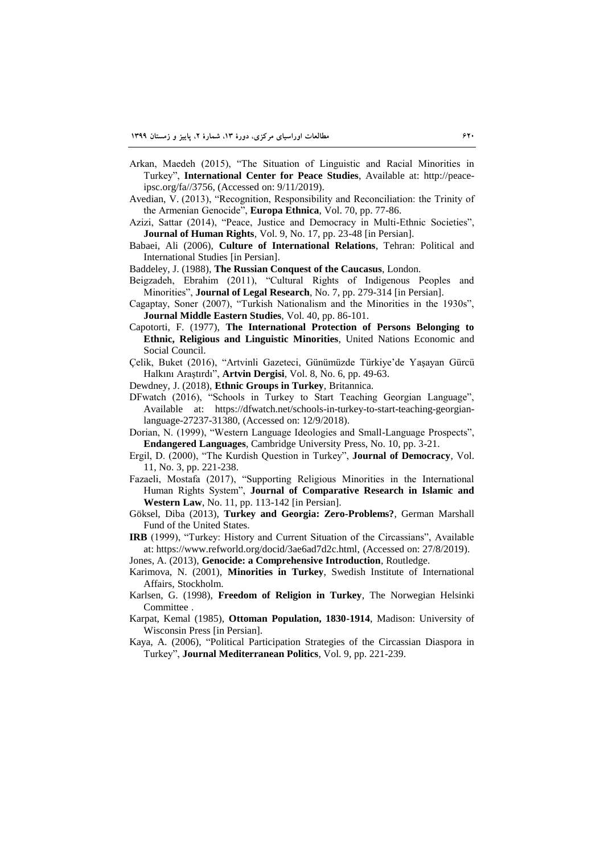- Arkan, Maedeh (2015), "The Situation of Linguistic and Racial Minorities in Turkey", **International Center for Peace Studies**, Available at: http://peaceipsc.org/fa//3756, (Accessed on: 9/11/2019).
- Avedian, V. (2013), "Recognition, Responsibility and Reconciliation: the Trinity of the Armenian Genocide", **Europa Ethnica**, Vol. 70, pp. 77-86.
- Azizi, Sattar (2014), "Peace, Justice and Democracy in Multi-Ethnic Societies", **Journal of Human Rights**, Vol. 9, No. 17, pp. 23-48 [in Persian].
- Babaei, Ali (2006), **Culture of International Relations**, Tehran: Political and International Studies [in Persian].
- Baddeley, J. (1988), **The Russian Conquest of the Caucasus**, London.
- Beigzadeh, Ebrahim (2011), "Cultural Rights of Indigenous Peoples and Minorities", **Journal of Legal Research**, No. 7, pp. 279-314 [in Persian].
- Cagaptay, Soner (2007), "Turkish Nationalism and the Minorities in the 1930s", **Journal Middle Eastern Studies**, Vol. 40, pp. 86-101.
- Capotorti, F. (1977), **The International Protection of Persons Belonging to Ethnic, Religious and Linguistic Minorities**, United Nations Economic and Social Council.
- Çelik, Buket (2016), "Artvinli Gazeteci, Günümüzde Türkiye'de Yaşayan Gürcü Halkını Araştırdı", **Artvin Dergisi**, Vol. 8, No. 6, pp. 49-63.
- Dewdney, J. (2018), **Ethnic Groups in Turkey**, Britannica.
- DFwatch (2016), "Schools in Turkey to Start Teaching Georgian Language", Available at: https://dfwatch.net/schools-in-turkey-to-start-teaching-georgianlanguage-27237-31380, (Accessed on: 12/9/2018).
- Dorian, N. (1999), "Western Language Ideologies and Small-Language Prospects", **Endangered Languages**, Cambridge University Press, No. 10, pp. 3-21.
- Ergil, D. (2000), "The Kurdish Question in Turkey", **Journal of Democracy**, Vol. 11, No. 3, pp. 221-238.
- Fazaeli, Mostafa (2017), "Supporting Religious Minorities in the International Human Rights System", **Journal of Comparative Research in Islamic and Western Law**, No. 11, pp. 113-142 [in Persian].
- Göksel, Diba (2013), **Turkey and Georgia: Zero-Problems?**, German Marshall Fund of the United States.
- **IRB** (1999), "Turkey: History and Current Situation of the Circassians", Available at: https://www.refworld.org/docid/3ae6ad7d2c.html, (Accessed on: 27/8/2019).
- Jones, A. (2013), **Genocide: a Comprehensive Introduction**, Routledge.
- Karimova, N. (2001), **Minorities in Turkey**, Swedish Institute of International Affairs, Stockholm.
- Karlsen, G. (1998), **Freedom of Religion in Turkey**, The Norwegian Helsinki Committee .
- Karpat, Kemal (1985), **Ottoman Population, 1830-1914**, Madison: University of Wisconsin Press [in Persian].
- Kaya, A. (2006), "Political Participation Strategies of the Circassian Diaspora in Turkey", **Journal Mediterranean Politics**, Vol. 9, pp. 221-239.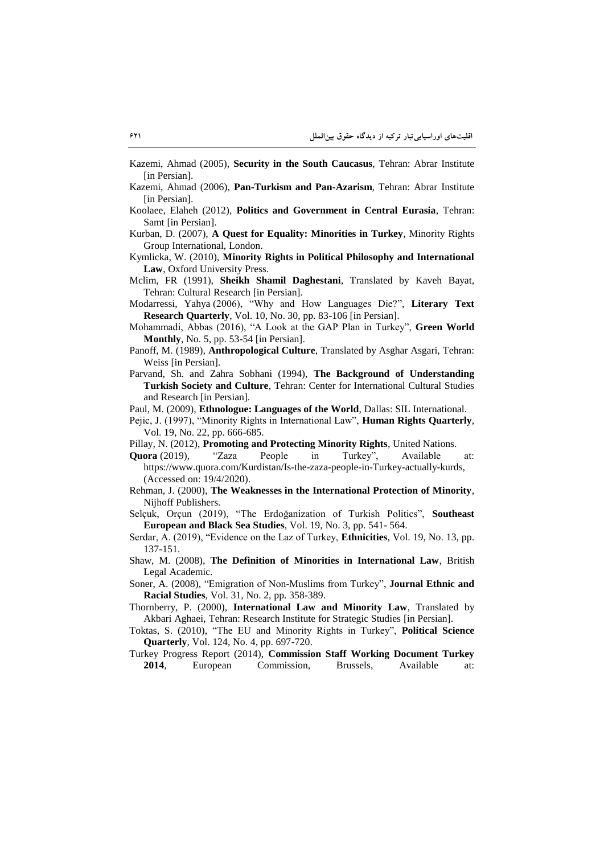Kazemi, Ahmad (2005), **Security in the South Caucasus**, Tehran: Abrar Institute [in Persian].

- Kazemi, Ahmad (2006), **Pan-Turkism and Pan-Azarism**, Tehran: Abrar Institute [in Persian].
- Koolaee, Elaheh (2012), **Politics and Government in Central Eurasia**, Tehran: Samt [in Persian].
- Kurban, D. (2007), **A Quest for Equality: Minorities in Turkey**, Minority Rights Group International, London.
- Kymlicka, W. (2010), **Minority Rights in Political Philosophy and International Law**, Oxford University Press.
- Mclim, FR (1991), **Sheikh Shamil Daghestani**, Translated by Kaveh Bayat, Tehran: Cultural Research [in Persian].
- Modarressi, Yahya (2006), "Why and How Languages Die?", **Literary Text Research Quarterly**, Vol. 10, No. 30, pp. 83-106 [in Persian].
- Mohammadi, Abbas (2016), "A Look at the GAP Plan in Turkey", **Green World Monthly**, No. 5, pp. 53-54 [in Persian].
- Panoff, M. (1989), **Anthropological Culture**, Translated by Asghar Asgari, Tehran: Weiss [in Persian].
- Parvand, Sh. and Zahra Sobhani (1994), **The Background of Understanding Turkish Society and Culture**, Tehran: Center for International Cultural Studies and Research [in Persian].
- Paul, M. (2009), **Ethnologue: Languages of the World**, Dallas: SIL International.
- Pejic, J. (1997), "Minority Rights in International Law", **Human Rights Quarterly**, Vol. 19, No. 22, pp. 666-685.
- Pillay, N. (2012), **Promoting and Protecting Minority Rights**, United Nations.
- **Quora** (2019), "Zaza People in Turkey", Available at: https://www.quora.com/Kurdistan/Is-the-zaza-people-in-Turkey-actually-kurds, (Accessed on: 19/4/2020).
- Rehman, J. (2000), **The Weaknesses in the International Protection of Minority**, Nijhoff Publishers.

Selçuk, Orçun (2019), "The Erdoğanization of Turkish Politics", **Southeast European and Black Sea Studies**, Vol. 19, No. 3, pp. 541- 564.

- Serdar, A. (2019), "Evidence on the Laz of Turkey, **Ethnicities**, Vol. 19, No. 13, pp. 137-151.
- Shaw, M. (2008), **The Definition of Minorities in International Law**, British Legal Academic.
- Soner, A. (2008), "Emigration of Non-Muslims from Turkey", **Journal Ethnic and Racial Studies**, Vol. 31, No. 2, pp. 358-389.
- Thornberry, P. (2000), **International Law and Minority Law**, Translated by Akbari Aghaei, Tehran: Research Institute for Strategic Studies [in Persian].
- Toktas, S. (2010), "The EU and Minority Rights in Turkey", **Political Science Quarterly**, Vol. 124, No. 4, pp. 697-720.

Turkey Progress Report (2014), **Commission Staff Working Document Turkey 2014**, European Commission, Brussels, Available at: